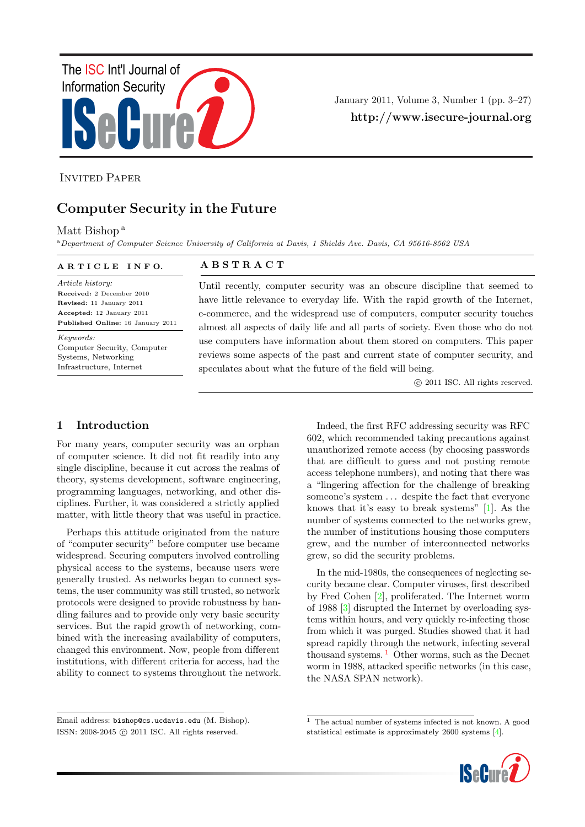

January 2011, Volume 3, Number 1 (pp. 3–27) http://www.isecure-journal.org

Invited Paper

# Computer Security in the Future

# Matt Bishop<sup>a</sup>

<sup>a</sup>Department of Computer Science University of California at Davis, 1 Shields Ave. Davis, CA 95616-8562 USA

#### ARTICLE INFO.

# A B S T R A C T

Article history: Received: 2 December 2010 Revised: 11 January 2011 Accepted: 12 January 2011 Published Online: 16 January 2011

Keywords: Computer Security, Computer Systems, Networking Infrastructure, Internet

Until recently, computer security was an obscure discipline that seemed to have little relevance to everyday life. With the rapid growth of the Internet, e-commerce, and the widespread use of computers, computer security touches almost all aspects of daily life and all parts of society. Even those who do not use computers have information about them stored on computers. This paper reviews some aspects of the past and current state of computer security, and speculates about what the future of the field will being.

c 2011 ISC. All rights reserved.

# 1 Introduction

For many years, computer security was an orphan of computer science. It did not fit readily into any single discipline, because it cut across the realms of theory, systems development, software engineering, programming languages, networking, and other disciplines. Further, it was considered a strictly applied matter, with little theory that was useful in practice.

Perhaps this attitude originated from the nature of "computer security" before computer use became widespread. Securing computers involved controlling physical access to the systems, because users were generally trusted. As networks began to connect systems, the user community was still trusted, so network protocols were designed to provide robustness by handling failures and to provide only very basic security services. But the rapid growth of networking, combined with the increasing availability of computers, changed this environment. Now, people from different institutions, with different criteria for access, had the ability to connect to systems throughout the network.

Indeed, the first RFC addressing security was RFC 602, which recommended taking precautions against unauthorized remote access (by choosing passwords that are difficult to guess and not posting remote access telephone numbers), and noting that there was a "lingering affection for the challenge of breaking someone's system . . . despite the fact that everyone knows that it's easy to break systems" [\[1\]](#page-21-0). As the number of systems connected to the networks grew, the number of institutions housing those computers grew, and the number of interconnected networks grew, so did the security problems.

In the mid-1980s, the consequences of neglecting security became clear. Computer viruses, first described by Fred Cohen [\[2\]](#page-21-1), proliferated. The Internet worm of 1988 [\[3\]](#page-21-2) disrupted the Internet by overloading systems within hours, and very quickly re-infecting those from which it was purged. Studies showed that it had spread rapidly through the network, infecting several thousand systems.  $1$  Other worms, such as the Decnet worm in 1988, attacked specific networks (in this case, the NASA SPAN network).

<span id="page-0-0"></span> $^{\rm 1}$  The actual number of systems infected is not known. A good statistical estimate is approximately 2600 systems [\[4\]](#page-21-3).



Email address: bishop@cs.ucdavis.edu (M. Bishop). ISSN: 2008-2045 © 2011 ISC. All rights reserved.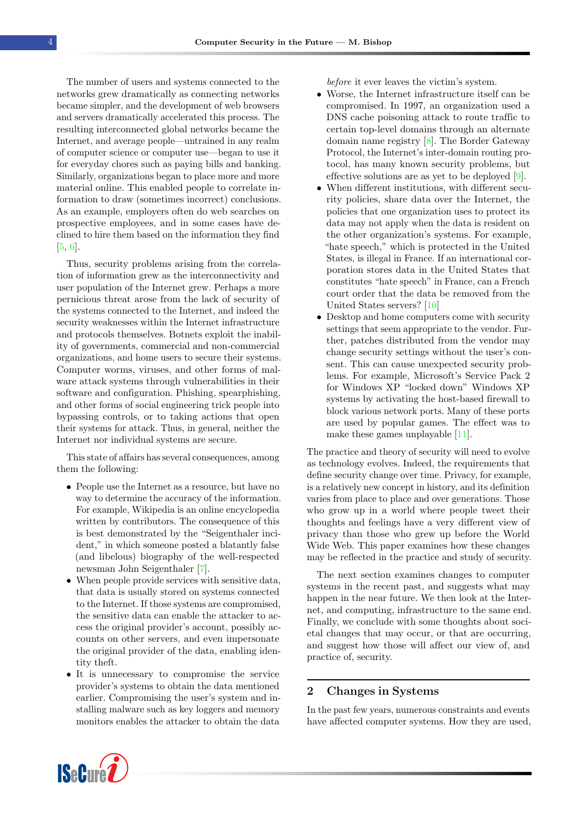The number of users and systems connected to the networks grew dramatically as connecting networks became simpler, and the development of web browsers and servers dramatically accelerated this process. The resulting interconnected global networks became the Internet, and average people—untrained in any realm of computer science or computer use—began to use it for everyday chores such as paying bills and banking. Similarly, organizations began to place more and more material online. This enabled people to correlate information to draw (sometimes incorrect) conclusions. As an example, employers often do web searches on prospective employees, and in some cases have declined to hire them based on the information they find [\[5,](#page-21-4) [6\]](#page-21-5).

Thus, security problems arising from the correlation of information grew as the interconnectivity and user population of the Internet grew. Perhaps a more pernicious threat arose from the lack of security of the systems connected to the Internet, and indeed the security weaknesses within the Internet infrastructure and protocols themselves. Botnets exploit the inability of governments, commercial and non-commercial organizations, and home users to secure their systems. Computer worms, viruses, and other forms of malware attack systems through vulnerabilities in their software and configuration. Phishing, spearphishing, and other forms of social engineering trick people into bypassing controls, or to taking actions that open their systems for attack. Thus, in general, neither the Internet nor individual systems are secure.

This state of affairs has several consequences, among them the following:

- People use the Internet as a resource, but have no way to determine the accuracy of the information. For example, Wikipedia is an online encyclopedia written by contributors. The consequence of this is best demonstrated by the "Seigenthaler incident," in which someone posted a blatantly false (and libelous) biography of the well-respected newsman John Seigenthaler [\[7\]](#page-21-6).
- When people provide services with sensitive data, that data is usually stored on systems connected to the Internet. If those systems are compromised, the sensitive data can enable the attacker to access the original provider's account, possibly accounts on other servers, and even impersonate the original provider of the data, enabling identity theft.
- It is unnecessary to compromise the service provider's systems to obtain the data mentioned earlier. Compromising the user's system and installing malware such as key loggers and memory monitors enables the attacker to obtain the data

before it ever leaves the victim's system.

- Worse, the Internet infrastructure itself can be compromised. In 1997, an organization used a DNS cache poisoning attack to route traffic to certain top-level domains through an alternate domain name registry [\[8\]](#page-21-7). The Border Gateway Protocol, the Internet's inter-domain routing protocol, has many known security problems, but effective solutions are as yet to be deployed [\[9\]](#page-21-8).
- When different institutions, with different security policies, share data over the Internet, the policies that one organization uses to protect its data may not apply when the data is resident on the other organization's systems. For example, "hate speech," which is protected in the United States, is illegal in France. If an international corporation stores data in the United States that constitutes "hate speech" in France, can a French court order that the data be removed from the United States servers? [\[10\]](#page-21-9)
- Desktop and home computers come with security settings that seem appropriate to the vendor. Further, patches distributed from the vendor may change security settings without the user's consent. This can cause unexpected security problems. For example, Microsoft's Service Pack 2 for Windows XP "locked down" Windows XP systems by activating the host-based firewall to block various network ports. Many of these ports are used by popular games. The effect was to make these games unplayable [\[11\]](#page-21-10).

The practice and theory of security will need to evolve as technology evolves. Indeed, the requirements that define security change over time. Privacy, for example, is a relatively new concept in history, and its definition varies from place to place and over generations. Those who grow up in a world where people tweet their thoughts and feelings have a very different view of privacy than those who grew up before the World Wide Web. This paper examines how these changes may be reflected in the practice and study of security.

The next section examines changes to computer systems in the recent past, and suggests what may happen in the near future. We then look at the Internet, and computing, infrastructure to the same end. Finally, we conclude with some thoughts about societal changes that may occur, or that are occurring, and suggest how those will affect our view of, and practice of, security.

## 2 Changes in Systems

In the past few years, numerous constraints and events have affected computer systems. How they are used,

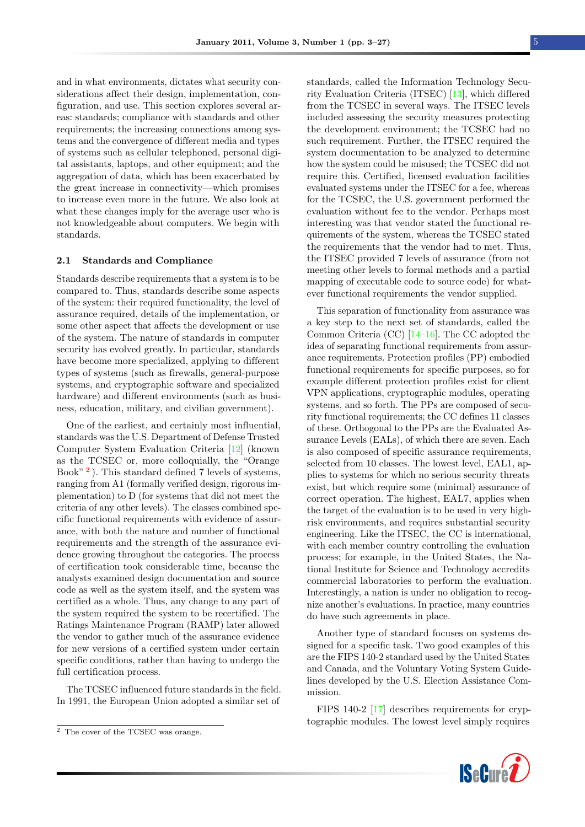and in what environments, dictates what security considerations affect their design, implementation, configuration, and use. This section explores several areas: standards; compliance with standards and other requirements; the increasing connections among systems and the convergence of different media and types of systems such as cellular telephoned, personal digital assistants, laptops, and other equipment; and the aggregation of data, which has been exacerbated by the great increase in connectivity—which promises to increase even more in the future. We also look at what these changes imply for the average user who is not knowledgeable about computers. We begin with standards.

## 2.1 Standards and Compliance

Standards describe requirements that a system is to be compared to. Thus, standards describe some aspects of the system: their required functionality, the level of assurance required, details of the implementation, or some other aspect that affects the development or use of the system. The nature of standards in computer security has evolved greatly. In particular, standards have become more specialized, applying to different types of systems (such as firewalls, general-purpose systems, and cryptographic software and specialized hardware) and different environments (such as business, education, military, and civilian government).

One of the earliest, and certainly most influential, standards was the U.S. Department of Defense Trusted Computer System Evaluation Criteria [\[12\]](#page-21-11) (known as the TCSEC or, more colloquially, the "Orange Book"<sup>[2](#page-2-0)</sup>). This standard defined 7 levels of systems, ranging from A1 (formally verified design, rigorous implementation) to D (for systems that did not meet the criteria of any other levels). The classes combined specific functional requirements with evidence of assurance, with both the nature and number of functional requirements and the strength of the assurance evidence growing throughout the categories. The process of certification took considerable time, because the analysts examined design documentation and source code as well as the system itself, and the system was certified as a whole. Thus, any change to any part of the system required the system to be recertified. The Ratings Maintenance Program (RAMP) later allowed the vendor to gather much of the assurance evidence for new versions of a certified system under certain specific conditions, rather than having to undergo the full certification process.

The TCSEC influenced future standards in the field. In 1991, the European Union adopted a similar set of

standards, called the Information Technology Security Evaluation Criteria (ITSEC) [\[13\]](#page-21-12), which differed from the TCSEC in several ways. The ITSEC levels included assessing the security measures protecting the development environment; the TCSEC had no such requirement. Further, the ITSEC required the system documentation to be analyzed to determine how the system could be misused; the TCSEC did not require this. Certified, licensed evaluation facilities evaluated systems under the ITSEC for a fee, whereas for the TCSEC, the U.S. government performed the evaluation without fee to the vendor. Perhaps most interesting was that vendor stated the functional requirements of the system, whereas the TCSEC stated the requirements that the vendor had to met. Thus, the ITSEC provided 7 levels of assurance (from not meeting other levels to formal methods and a partial mapping of executable code to source code) for whatever functional requirements the vendor supplied.

This separation of functionality from assurance was a key step to the next set of standards, called the Common Criteria (CC) [\[14–](#page-21-13)[16\]](#page-21-14). The CC adopted the idea of separating functional requirements from assurance requirements. Protection profiles (PP) embodied functional requirements for specific purposes, so for example different protection profiles exist for client VPN applications, cryptographic modules, operating systems, and so forth. The PPs are composed of security functional requirements; the CC defines 11 classes of these. Orthogonal to the PPs are the Evaluated Assurance Levels (EALs), of which there are seven. Each is also composed of specific assurance requirements, selected from 10 classes. The lowest level, EAL1, applies to systems for which no serious security threats exist, but which require some (minimal) assurance of correct operation. The highest, EAL7, applies when the target of the evaluation is to be used in very highrisk environments, and requires substantial security engineering. Like the ITSEC, the CC is international, with each member country controlling the evaluation process; for example, in the United States, the National Institute for Science and Technology accredits commercial laboratories to perform the evaluation. Interestingly, a nation is under no obligation to recognize another's evaluations. In practice, many countries do have such agreements in place.

Another type of standard focuses on systems designed for a specific task. Two good examples of this are the FIPS 140-2 standard used by the United States and Canada, and the Voluntary Voting System Guidelines developed by the U.S. Election Assistance Commission.

FIPS 140-2 [\[17\]](#page-21-15) describes requirements for cryptographic modules. The lowest level simply requires



<span id="page-2-0"></span><sup>2</sup> The cover of the TCSEC was orange.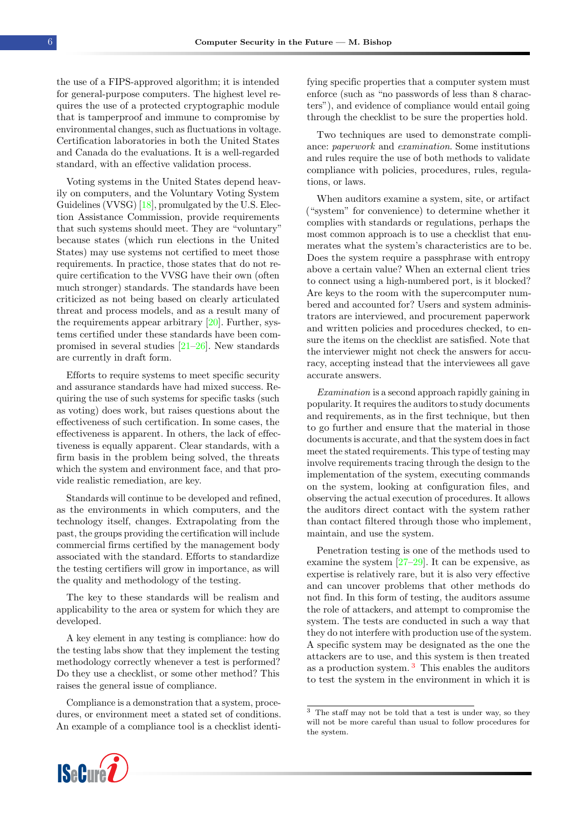the use of a FIPS-approved algorithm; it is intended for general-purpose computers. The highest level requires the use of a protected cryptographic module that is tamperproof and immune to compromise by environmental changes, such as fluctuations in voltage. Certification laboratories in both the United States and Canada do the evaluations. It is a well-regarded standard, with an effective validation process.

Voting systems in the United States depend heavily on computers, and the Voluntary Voting System Guidelines (VVSG) [\[18\]](#page-21-16), promulgated by the U.S. Election Assistance Commission, provide requirements that such systems should meet. They are "voluntary" because states (which run elections in the United States) may use systems not certified to meet those requirements. In practice, those states that do not require certification to the VVSG have their own (often much stronger) standards. The standards have been criticized as not being based on clearly articulated threat and process models, and as a result many of the requirements appear arbitrary  $[20]$ . Further, systems certified under these standards have been compromised in several studies [\[21](#page-21-18)[–26\]](#page-22-0). New standards are currently in draft form.

Efforts to require systems to meet specific security and assurance standards have had mixed success. Requiring the use of such systems for specific tasks (such as voting) does work, but raises questions about the effectiveness of such certification. In some cases, the effectiveness is apparent. In others, the lack of effectiveness is equally apparent. Clear standards, with a firm basis in the problem being solved, the threats which the system and environment face, and that provide realistic remediation, are key.

Standards will continue to be developed and refined, as the environments in which computers, and the technology itself, changes. Extrapolating from the past, the groups providing the certification will include commercial firms certified by the management body associated with the standard. Efforts to standardize the testing certifiers will grow in importance, as will the quality and methodology of the testing.

The key to these standards will be realism and applicability to the area or system for which they are developed.

A key element in any testing is compliance: how do the testing labs show that they implement the testing methodology correctly whenever a test is performed? Do they use a checklist, or some other method? This raises the general issue of compliance.

Compliance is a demonstration that a system, procedures, or environment meet a stated set of conditions. An example of a compliance tool is a checklist identi-



Two techniques are used to demonstrate compliance: paperwork and examination. Some institutions and rules require the use of both methods to validate compliance with policies, procedures, rules, regulations, or laws.

When auditors examine a system, site, or artifact ("system" for convenience) to determine whether it complies with standards or regulations, perhaps the most common approach is to use a checklist that enumerates what the system's characteristics are to be. Does the system require a passphrase with entropy above a certain value? When an external client tries to connect using a high-numbered port, is it blocked? Are keys to the room with the supercomputer numbered and accounted for? Users and system administrators are interviewed, and procurement paperwork and written policies and procedures checked, to ensure the items on the checklist are satisfied. Note that the interviewer might not check the answers for accuracy, accepting instead that the interviewees all gave accurate answers.

Examination is a second approach rapidly gaining in popularity. It requires the auditors to study documents and requirements, as in the first technique, but then to go further and ensure that the material in those documents is accurate, and that the system does in fact meet the stated requirements. This type of testing may involve requirements tracing through the design to the implementation of the system, executing commands on the system, looking at configuration files, and observing the actual execution of procedures. It allows the auditors direct contact with the system rather than contact filtered through those who implement, maintain, and use the system.

Penetration testing is one of the methods used to examine the system [\[27–](#page-22-1)[29\]](#page-22-2). It can be expensive, as expertise is relatively rare, but it is also very effective and can uncover problems that other methods do not find. In this form of testing, the auditors assume the role of attackers, and attempt to compromise the system. The tests are conducted in such a way that they do not interfere with production use of the system. A specific system may be designated as the one the attackers are to use, and this system is then treated as a production system. [3](#page-3-0) This enables the auditors to test the system in the environment in which it is



<span id="page-3-0"></span> $\frac{3}{3}$  The staff may not be told that a test is under way, so they will not be more careful than usual to follow procedures for the system.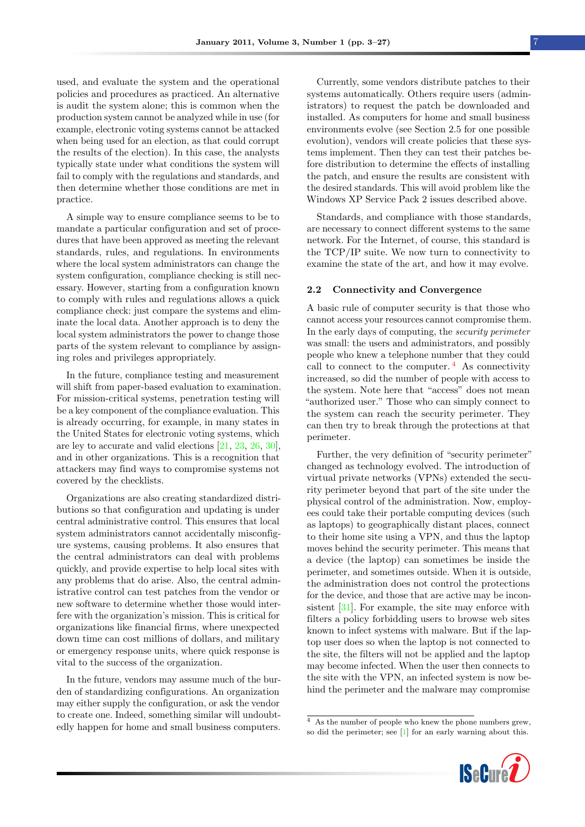used, and evaluate the system and the operational policies and procedures as practiced. An alternative is audit the system alone; this is common when the production system cannot be analyzed while in use (for example, electronic voting systems cannot be attacked when being used for an election, as that could corrupt the results of the election). In this case, the analysts typically state under what conditions the system will fail to comply with the regulations and standards, and then determine whether those conditions are met in practice.

A simple way to ensure compliance seems to be to mandate a particular configuration and set of procedures that have been approved as meeting the relevant standards, rules, and regulations. In environments where the local system administrators can change the system configuration, compliance checking is still necessary. However, starting from a configuration known to comply with rules and regulations allows a quick compliance check: just compare the systems and eliminate the local data. Another approach is to deny the local system administrators the power to change those parts of the system relevant to compliance by assigning roles and privileges appropriately.

In the future, compliance testing and measurement will shift from paper-based evaluation to examination. For mission-critical systems, penetration testing will be a key component of the compliance evaluation. This is already occurring, for example, in many states in the United States for electronic voting systems, which are ley to accurate and valid elections  $[21, 23, 26, 30]$  $[21, 23, 26, 30]$  $[21, 23, 26, 30]$  $[21, 23, 26, 30]$  $[21, 23, 26, 30]$  $[21, 23, 26, 30]$  $[21, 23, 26, 30]$ , and in other organizations. This is a recognition that attackers may find ways to compromise systems not covered by the checklists.

Organizations are also creating standardized distributions so that configuration and updating is under central administrative control. This ensures that local system administrators cannot accidentally misconfigure systems, causing problems. It also ensures that the central administrators can deal with problems quickly, and provide expertise to help local sites with any problems that do arise. Also, the central administrative control can test patches from the vendor or new software to determine whether those would interfere with the organization's mission. This is critical for organizations like financial firms, where unexpected down time can cost millions of dollars, and military or emergency response units, where quick response is vital to the success of the organization.

In the future, vendors may assume much of the burden of standardizing configurations. An organization may either supply the configuration, or ask the vendor to create one. Indeed, something similar will undoubtedly happen for home and small business computers.

Currently, some vendors distribute patches to their systems automatically. Others require users (administrators) to request the patch be downloaded and installed. As computers for home and small business environments evolve (see Section 2.5 for one possible evolution), vendors will create policies that these systems implement. Then they can test their patches before distribution to determine the effects of installing the patch, and ensure the results are consistent with the desired standards. This will avoid problem like the Windows XP Service Pack 2 issues described above.

Standards, and compliance with those standards, are necessary to connect different systems to the same network. For the Internet, of course, this standard is the TCP/IP suite. We now turn to connectivity to examine the state of the art, and how it may evolve.

#### 2.2 Connectivity and Convergence

A basic rule of computer security is that those who cannot access your resources cannot compromise them. In the early days of computing, the security perimeter was small: the users and administrators, and possibly people who knew a telephone number that they could call to connect to the computer.  $4$  As connectivity increased, so did the number of people with access to the system. Note here that "access" does not mean "authorized user." Those who can simply connect to the system can reach the security perimeter. They can then try to break through the protections at that perimeter.

Further, the very definition of "security perimeter" changed as technology evolved. The introduction of virtual private networks (VPNs) extended the security perimeter beyond that part of the site under the physical control of the administration. Now, employees could take their portable computing devices (such as laptops) to geographically distant places, connect to their home site using a VPN, and thus the laptop moves behind the security perimeter. This means that a device (the laptop) can sometimes be inside the perimeter, and sometimes outside. When it is outside, the administration does not control the protections for the device, and those that are active may be inconsistent [\[31\]](#page-22-5). For example, the site may enforce with filters a policy forbidding users to browse web sites known to infect systems with malware. But if the laptop user does so when the laptop is not connected to the site, the filters will not be applied and the laptop may become infected. When the user then connects to the site with the VPN, an infected system is now behind the perimeter and the malware may compromise

<span id="page-4-0"></span><sup>4</sup> As the number of people who knew the phone numbers grew, so did the perimeter; see [\[1\]](#page-21-0) for an early warning about this.

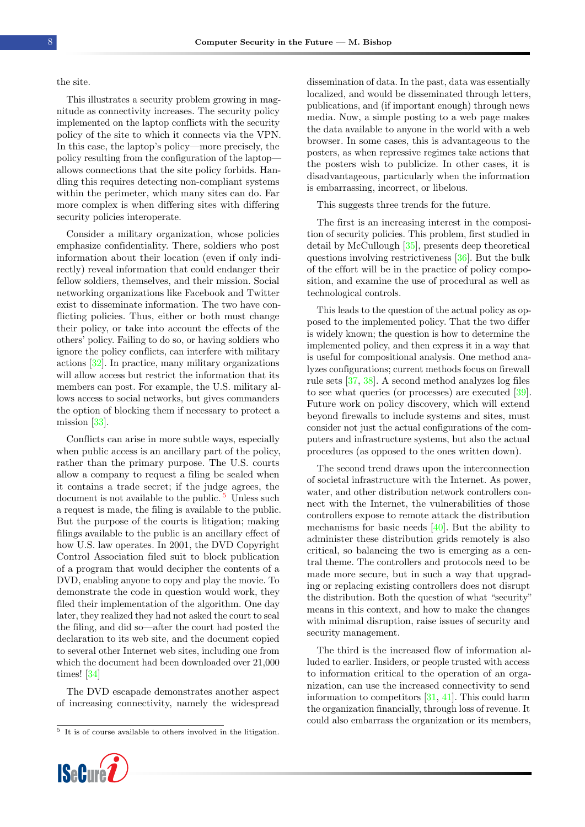#### the site.

This illustrates a security problem growing in magnitude as connectivity increases. The security policy implemented on the laptop conflicts with the security policy of the site to which it connects via the VPN. In this case, the laptop's policy—more precisely, the policy resulting from the configuration of the laptop allows connections that the site policy forbids. Handling this requires detecting non-compliant systems within the perimeter, which many sites can do. Far more complex is when differing sites with differing security policies interoperate.

Consider a military organization, whose policies emphasize confidentiality. There, soldiers who post information about their location (even if only indirectly) reveal information that could endanger their fellow soldiers, themselves, and their mission. Social networking organizations like Facebook and Twitter exist to disseminate information. The two have conflicting policies. Thus, either or both must change their policy, or take into account the effects of the others' policy. Failing to do so, or having soldiers who ignore the policy conflicts, can interfere with military actions [\[32\]](#page-22-6). In practice, many military organizations will allow access but restrict the information that its members can post. For example, the U.S. military allows access to social networks, but gives commanders the option of blocking them if necessary to protect a mission [\[33\]](#page-22-7).

Conflicts can arise in more subtle ways, especially when public access is an ancillary part of the policy, rather than the primary purpose. The U.S. courts allow a company to request a filing be sealed when it contains a trade secret; if the judge agrees, the document is not available to the public.  $5$  Unless such a request is made, the filing is available to the public. But the purpose of the courts is litigation; making filings available to the public is an ancillary effect of how U.S. law operates. In 2001, the DVD Copyright Control Association filed suit to block publication of a program that would decipher the contents of a DVD, enabling anyone to copy and play the movie. To demonstrate the code in question would work, they filed their implementation of the algorithm. One day later, they realized they had not asked the court to seal the filing, and did so—after the court had posted the declaration to its web site, and the document copied to several other Internet web sites, including one from which the document had been downloaded over 21,000 times! [\[34\]](#page-22-8)

The DVD escapade demonstrates another aspect of increasing connectivity, namely the widespread

<span id="page-5-0"></span><sup>5</sup> It is of course available to others involved in the litigation.



dissemination of data. In the past, data was essentially localized, and would be disseminated through letters, publications, and (if important enough) through news media. Now, a simple posting to a web page makes the data available to anyone in the world with a web browser. In some cases, this is advantageous to the posters, as when repressive regimes take actions that the posters wish to publicize. In other cases, it is disadvantageous, particularly when the information is embarrassing, incorrect, or libelous.

#### This suggests three trends for the future.

The first is an increasing interest in the composition of security policies. This problem, first studied in detail by McCullough [\[35\]](#page-22-9), presents deep theoretical questions involving restrictiveness [\[36\]](#page-22-10). But the bulk of the effort will be in the practice of policy composition, and examine the use of procedural as well as technological controls.

This leads to the question of the actual policy as opposed to the implemented policy. That the two differ is widely known; the question is how to determine the implemented policy, and then express it in a way that is useful for compositional analysis. One method analyzes configurations; current methods focus on firewall rule sets [\[37,](#page-22-11) [38\]](#page-22-12). A second method analyzes log files to see what queries (or processes) are executed [\[39\]](#page-22-13). Future work on policy discovery, which will extend beyond firewalls to include systems and sites, must consider not just the actual configurations of the computers and infrastructure systems, but also the actual procedures (as opposed to the ones written down).

The second trend draws upon the interconnection of societal infrastructure with the Internet. As power, water, and other distribution network controllers connect with the Internet, the vulnerabilities of those controllers expose to remote attack the distribution mechanisms for basic needs [\[40\]](#page-22-14). But the ability to administer these distribution grids remotely is also critical, so balancing the two is emerging as a central theme. The controllers and protocols need to be made more secure, but in such a way that upgrading or replacing existing controllers does not disrupt the distribution. Both the question of what "security" means in this context, and how to make the changes with minimal disruption, raise issues of security and security management.

The third is the increased flow of information alluded to earlier. Insiders, or people trusted with access to information critical to the operation of an organization, can use the increased connectivity to send information to competitors [\[31,](#page-22-5) [41\]](#page-22-15). This could harm the organization financially, through loss of revenue. It could also embarrass the organization or its members,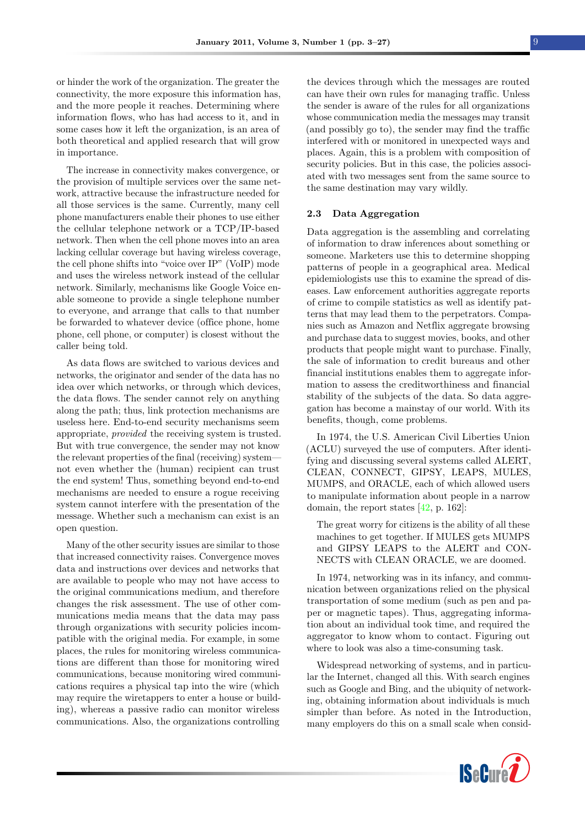or hinder the work of the organization. The greater the connectivity, the more exposure this information has, and the more people it reaches. Determining where information flows, who has had access to it, and in some cases how it left the organization, is an area of both theoretical and applied research that will grow in importance.

The increase in connectivity makes convergence, or the provision of multiple services over the same network, attractive because the infrastructure needed for all those services is the same. Currently, many cell phone manufacturers enable their phones to use either the cellular telephone network or a TCP/IP-based network. Then when the cell phone moves into an area lacking cellular coverage but having wireless coverage, the cell phone shifts into "voice over IP" (VoIP) mode and uses the wireless network instead of the cellular network. Similarly, mechanisms like Google Voice enable someone to provide a single telephone number to everyone, and arrange that calls to that number be forwarded to whatever device (office phone, home phone, cell phone, or computer) is closest without the caller being told.

As data flows are switched to various devices and networks, the originator and sender of the data has no idea over which networks, or through which devices, the data flows. The sender cannot rely on anything along the path; thus, link protection mechanisms are useless here. End-to-end security mechanisms seem appropriate, provided the receiving system is trusted. But with true convergence, the sender may not know the relevant properties of the final (receiving) system not even whether the (human) recipient can trust the end system! Thus, something beyond end-to-end mechanisms are needed to ensure a rogue receiving system cannot interfere with the presentation of the message. Whether such a mechanism can exist is an open question.

Many of the other security issues are similar to those that increased connectivity raises. Convergence moves data and instructions over devices and networks that are available to people who may not have access to the original communications medium, and therefore changes the risk assessment. The use of other communications media means that the data may pass through organizations with security policies incompatible with the original media. For example, in some places, the rules for monitoring wireless communications are different than those for monitoring wired communications, because monitoring wired communications requires a physical tap into the wire (which may require the wiretappers to enter a house or building), whereas a passive radio can monitor wireless communications. Also, the organizations controlling

the devices through which the messages are routed can have their own rules for managing traffic. Unless the sender is aware of the rules for all organizations whose communication media the messages may transit (and possibly go to), the sender may find the traffic interfered with or monitored in unexpected ways and places. Again, this is a problem with composition of security policies. But in this case, the policies associated with two messages sent from the same source to the same destination may vary wildly.

#### 2.3 Data Aggregation

Data aggregation is the assembling and correlating of information to draw inferences about something or someone. Marketers use this to determine shopping patterns of people in a geographical area. Medical epidemiologists use this to examine the spread of diseases. Law enforcement authorities aggregate reports of crime to compile statistics as well as identify patterns that may lead them to the perpetrators. Companies such as Amazon and Netflix aggregate browsing and purchase data to suggest movies, books, and other products that people might want to purchase. Finally, the sale of information to credit bureaus and other financial institutions enables them to aggregate information to assess the creditworthiness and financial stability of the subjects of the data. So data aggregation has become a mainstay of our world. With its benefits, though, come problems.

In 1974, the U.S. American Civil Liberties Union (ACLU) surveyed the use of computers. After identifying and discussing several systems called ALERT, CLEAN, CONNECT, GIPSY, LEAPS, MULES, MUMPS, and ORACLE, each of which allowed users to manipulate information about people in a narrow domain, the report states [\[42,](#page-22-16) p. 162]:

The great worry for citizens is the ability of all these machines to get together. If MULES gets MUMPS and GIPSY LEAPS to the ALERT and CON-NECTS with CLEAN ORACLE, we are doomed.

In 1974, networking was in its infancy, and communication between organizations relied on the physical transportation of some medium (such as pen and paper or magnetic tapes). Thus, aggregating information about an individual took time, and required the aggregator to know whom to contact. Figuring out where to look was also a time-consuming task.

Widespread networking of systems, and in particular the Internet, changed all this. With search engines such as Google and Bing, and the ubiquity of networking, obtaining information about individuals is much simpler than before. As noted in the Introduction, many employers do this on a small scale when consid-

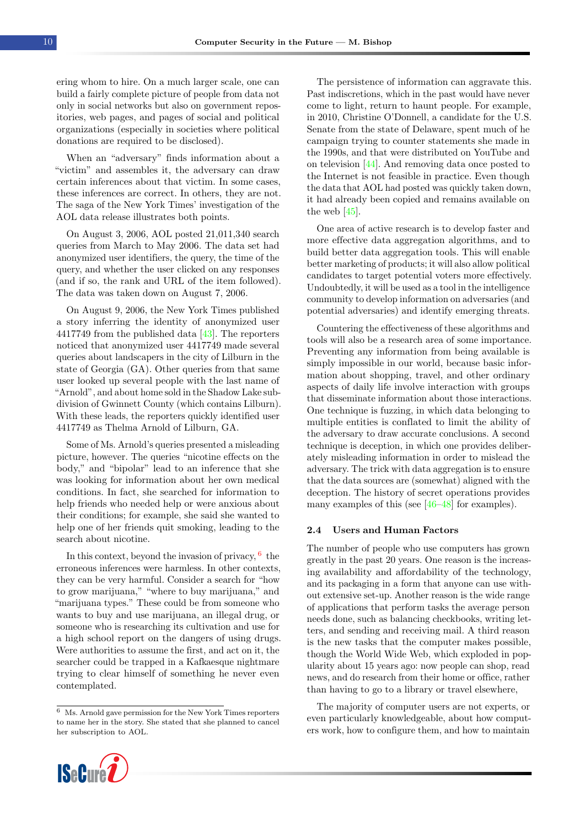ering whom to hire. On a much larger scale, one can build a fairly complete picture of people from data not only in social networks but also on government repositories, web pages, and pages of social and political organizations (especially in societies where political donations are required to be disclosed).

When an "adversary" finds information about a "victim" and assembles it, the adversary can draw certain inferences about that victim. In some cases, these inferences are correct. In others, they are not. The saga of the New York Times' investigation of the AOL data release illustrates both points.

On August 3, 2006, AOL posted 21,011,340 search queries from March to May 2006. The data set had anonymized user identifiers, the query, the time of the query, and whether the user clicked on any responses (and if so, the rank and URL of the item followed). The data was taken down on August 7, 2006.

On August 9, 2006, the New York Times published a story inferring the identity of anonymized user 4417749 from the published data [\[43\]](#page-22-17). The reporters noticed that anonymized user 4417749 made several queries about landscapers in the city of Lilburn in the state of Georgia (GA). Other queries from that same user looked up several people with the last name of "Arnold", and about home sold in the Shadow Lake subdivision of Gwinnett County (which contains Lilburn). With these leads, the reporters quickly identified user 4417749 as Thelma Arnold of Lilburn, GA.

Some of Ms. Arnold's queries presented a misleading picture, however. The queries "nicotine effects on the body," and "bipolar" lead to an inference that she was looking for information about her own medical conditions. In fact, she searched for information to help friends who needed help or were anxious about their conditions; for example, she said she wanted to help one of her friends quit smoking, leading to the search about nicotine.

In this context, beyond the invasion of privacy,  $6$  the erroneous inferences were harmless. In other contexts, they can be very harmful. Consider a search for "how to grow marijuana," "where to buy marijuana," and "marijuana types." These could be from someone who wants to buy and use marijuana, an illegal drug, or someone who is researching its cultivation and use for a high school report on the dangers of using drugs. Were authorities to assume the first, and act on it, the searcher could be trapped in a Kafkaesque nightmare trying to clear himself of something he never even contemplated.

<span id="page-7-0"></span> $^6\,$  Ms. Arnold gave permission for the New York Times reporters to name her in the story. She stated that she planned to cancel her subscription to AOL.



The persistence of information can aggravate this. Past indiscretions, which in the past would have never come to light, return to haunt people. For example, in 2010, Christine O'Donnell, a candidate for the U.S. Senate from the state of Delaware, spent much of he campaign trying to counter statements she made in the 1990s, and that were distributed on YouTube and on television [\[44\]](#page-22-18). And removing data once posted to the Internet is not feasible in practice. Even though the data that AOL had posted was quickly taken down, it had already been copied and remains available on the web [\[45\]](#page-22-19).

One area of active research is to develop faster and more effective data aggregation algorithms, and to build better data aggregation tools. This will enable better marketing of products; it will also allow political candidates to target potential voters more effectively. Undoubtedly, it will be used as a tool in the intelligence community to develop information on adversaries (and potential adversaries) and identify emerging threats.

Countering the effectiveness of these algorithms and tools will also be a research area of some importance. Preventing any information from being available is simply impossible in our world, because basic information about shopping, travel, and other ordinary aspects of daily life involve interaction with groups that disseminate information about those interactions. One technique is fuzzing, in which data belonging to multiple entities is conflated to limit the ability of the adversary to draw accurate conclusions. A second technique is deception, in which one provides deliberately misleading information in order to mislead the adversary. The trick with data aggregation is to ensure that the data sources are (somewhat) aligned with the deception. The history of secret operations provides many examples of this (see [\[46](#page-22-20)[–48\]](#page-22-21) for examples).

#### 2.4 Users and Human Factors

The number of people who use computers has grown greatly in the past 20 years. One reason is the increasing availability and affordability of the technology, and its packaging in a form that anyone can use without extensive set-up. Another reason is the wide range of applications that perform tasks the average person needs done, such as balancing checkbooks, writing letters, and sending and receiving mail. A third reason is the new tasks that the computer makes possible, though the World Wide Web, which exploded in popularity about 15 years ago: now people can shop, read news, and do research from their home or office, rather than having to go to a library or travel elsewhere,

The majority of computer users are not experts, or even particularly knowledgeable, about how computers work, how to configure them, and how to maintain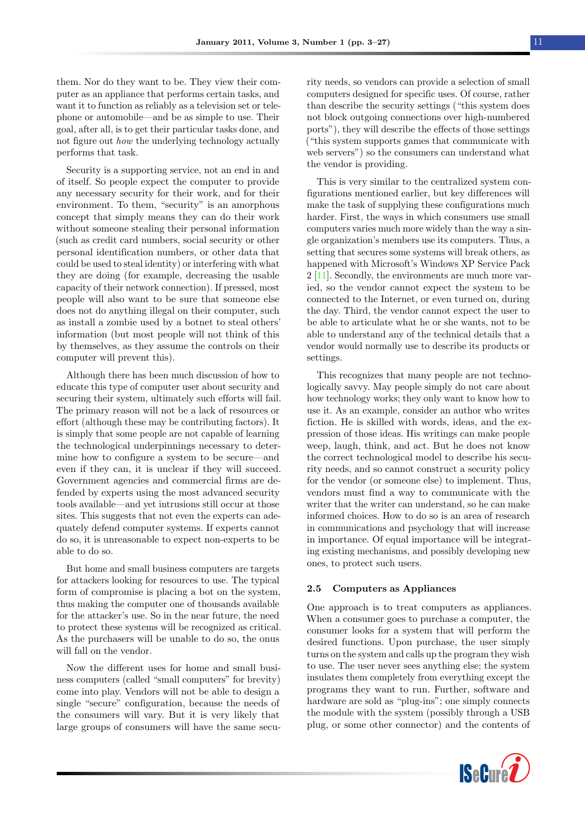them. Nor do they want to be. They view their computer as an appliance that performs certain tasks, and want it to function as reliably as a television set or telephone or automobile—and be as simple to use. Their goal, after all, is to get their particular tasks done, and not figure out how the underlying technology actually performs that task.

Security is a supporting service, not an end in and of itself. So people expect the computer to provide any necessary security for their work, and for their environment. To them, "security" is an amorphous concept that simply means they can do their work without someone stealing their personal information (such as credit card numbers, social security or other personal identification numbers, or other data that could be used to steal identity) or interfering with what they are doing (for example, decreasing the usable capacity of their network connection). If pressed, most people will also want to be sure that someone else does not do anything illegal on their computer, such as install a zombie used by a botnet to steal others' information (but most people will not think of this by themselves, as they assume the controls on their computer will prevent this).

Although there has been much discussion of how to educate this type of computer user about security and securing their system, ultimately such efforts will fail. The primary reason will not be a lack of resources or effort (although these may be contributing factors). It is simply that some people are not capable of learning the technological underpinnings necessary to determine how to configure a system to be secure—and even if they can, it is unclear if they will succeed. Government agencies and commercial firms are defended by experts using the most advanced security tools available—and yet intrusions still occur at those sites. This suggests that not even the experts can adequately defend computer systems. If experts cannot do so, it is unreasonable to expect non-experts to be able to do so.

But home and small business computers are targets for attackers looking for resources to use. The typical form of compromise is placing a bot on the system, thus making the computer one of thousands available for the attacker's use. So in the near future, the need to protect these systems will be recognized as critical. As the purchasers will be unable to do so, the onus will fall on the vendor.

Now the different uses for home and small business computers (called "small computers" for brevity) come into play. Vendors will not be able to design a single "secure" configuration, because the needs of the consumers will vary. But it is very likely that large groups of consumers will have the same secu-

rity needs, so vendors can provide a selection of small computers designed for specific uses. Of course, rather than describe the security settings ("this system does not block outgoing connections over high-numbered ports"), they will describe the effects of those settings ("this system supports games that communicate with web servers") so the consumers can understand what the vendor is providing.

This is very similar to the centralized system configurations mentioned earlier, but key differences will make the task of supplying these configurations much harder. First, the ways in which consumers use small computers varies much more widely than the way a single organization's members use its computers. Thus, a setting that secures some systems will break others, as happened with Microsoft's Windows XP Service Pack 2 [\[11\]](#page-21-10). Secondly, the environments are much more varied, so the vendor cannot expect the system to be connected to the Internet, or even turned on, during the day. Third, the vendor cannot expect the user to be able to articulate what he or she wants, not to be able to understand any of the technical details that a vendor would normally use to describe its products or settings.

This recognizes that many people are not technologically savvy. May people simply do not care about how technology works; they only want to know how to use it. As an example, consider an author who writes fiction. He is skilled with words, ideas, and the expression of those ideas. His writings can make people weep, laugh, think, and act. But he does not know the correct technological model to describe his security needs, and so cannot construct a security policy for the vendor (or someone else) to implement. Thus, vendors must find a way to communicate with the writer that the writer can understand, so he can make informed choices. How to do so is an area of research in communications and psychology that will increase in importance. Of equal importance will be integrating existing mechanisms, and possibly developing new ones, to protect such users.

## 2.5 Computers as Appliances

One approach is to treat computers as appliances. When a consumer goes to purchase a computer, the consumer looks for a system that will perform the desired functions. Upon purchase, the user simply turns on the system and calls up the program they wish to use. The user never sees anything else; the system insulates them completely from everything except the programs they want to run. Further, software and hardware are sold as "plug-ins"; one simply connects the module with the system (possibly through a USB plug, or some other connector) and the contents of

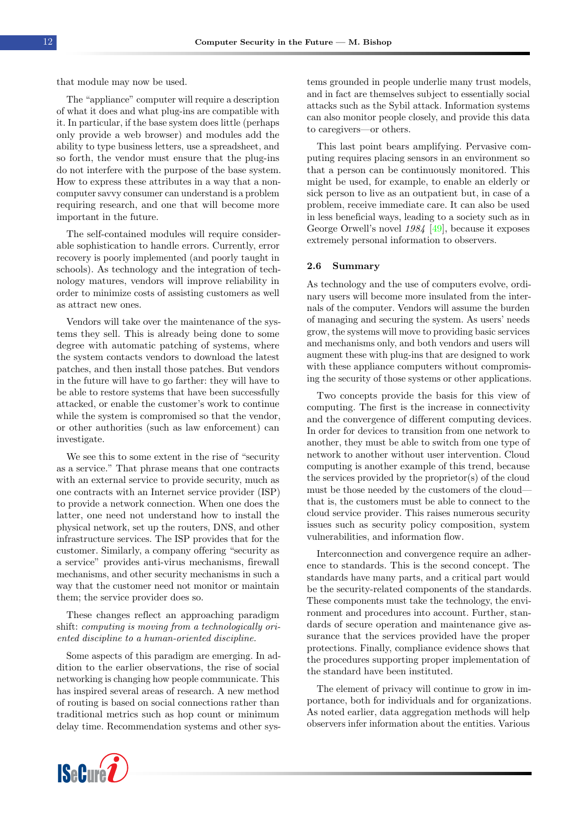that module may now be used.

The "appliance" computer will require a description of what it does and what plug-ins are compatible with it. In particular, if the base system does little (perhaps only provide a web browser) and modules add the ability to type business letters, use a spreadsheet, and so forth, the vendor must ensure that the plug-ins do not interfere with the purpose of the base system. How to express these attributes in a way that a noncomputer savvy consumer can understand is a problem requiring research, and one that will become more important in the future.

The self-contained modules will require considerable sophistication to handle errors. Currently, error recovery is poorly implemented (and poorly taught in schools). As technology and the integration of technology matures, vendors will improve reliability in order to minimize costs of assisting customers as well as attract new ones.

Vendors will take over the maintenance of the systems they sell. This is already being done to some degree with automatic patching of systems, where the system contacts vendors to download the latest patches, and then install those patches. But vendors in the future will have to go farther: they will have to be able to restore systems that have been successfully attacked, or enable the customer's work to continue while the system is compromised so that the vendor, or other authorities (such as law enforcement) can investigate.

We see this to some extent in the rise of "security as a service." That phrase means that one contracts with an external service to provide security, much as one contracts with an Internet service provider (ISP) to provide a network connection. When one does the latter, one need not understand how to install the physical network, set up the routers, DNS, and other infrastructure services. The ISP provides that for the customer. Similarly, a company offering "security as a service" provides anti-virus mechanisms, firewall mechanisms, and other security mechanisms in such a way that the customer need not monitor or maintain them; the service provider does so.

These changes reflect an approaching paradigm shift: computing is moving from a technologically oriented discipline to a human-oriented discipline.

Some aspects of this paradigm are emerging. In addition to the earlier observations, the rise of social networking is changing how people communicate. This has inspired several areas of research. A new method of routing is based on social connections rather than traditional metrics such as hop count or minimum delay time. Recommendation systems and other systems grounded in people underlie many trust models, and in fact are themselves subject to essentially social attacks such as the Sybil attack. Information systems can also monitor people closely, and provide this data to caregivers—or others.

This last point bears amplifying. Pervasive computing requires placing sensors in an environment so that a person can be continuously monitored. This might be used, for example, to enable an elderly or sick person to live as an outpatient but, in case of a problem, receive immediate care. It can also be used in less beneficial ways, leading to a society such as in George Orwell's novel 1984 [\[49\]](#page-22-22), because it exposes extremely personal information to observers.

#### 2.6 Summary

As technology and the use of computers evolve, ordinary users will become more insulated from the internals of the computer. Vendors will assume the burden of managing and securing the system. As users' needs grow, the systems will move to providing basic services and mechanisms only, and both vendors and users will augment these with plug-ins that are designed to work with these appliance computers without compromising the security of those systems or other applications.

Two concepts provide the basis for this view of computing. The first is the increase in connectivity and the convergence of different computing devices. In order for devices to transition from one network to another, they must be able to switch from one type of network to another without user intervention. Cloud computing is another example of this trend, because the services provided by the proprietor(s) of the cloud must be those needed by the customers of the cloud that is, the customers must be able to connect to the cloud service provider. This raises numerous security issues such as security policy composition, system vulnerabilities, and information flow.

Interconnection and convergence require an adherence to standards. This is the second concept. The standards have many parts, and a critical part would be the security-related components of the standards. These components must take the technology, the environment and procedures into account. Further, standards of secure operation and maintenance give assurance that the services provided have the proper protections. Finally, compliance evidence shows that the procedures supporting proper implementation of the standard have been instituted.

The element of privacy will continue to grow in importance, both for individuals and for organizations. As noted earlier, data aggregation methods will help observers infer information about the entities. Various

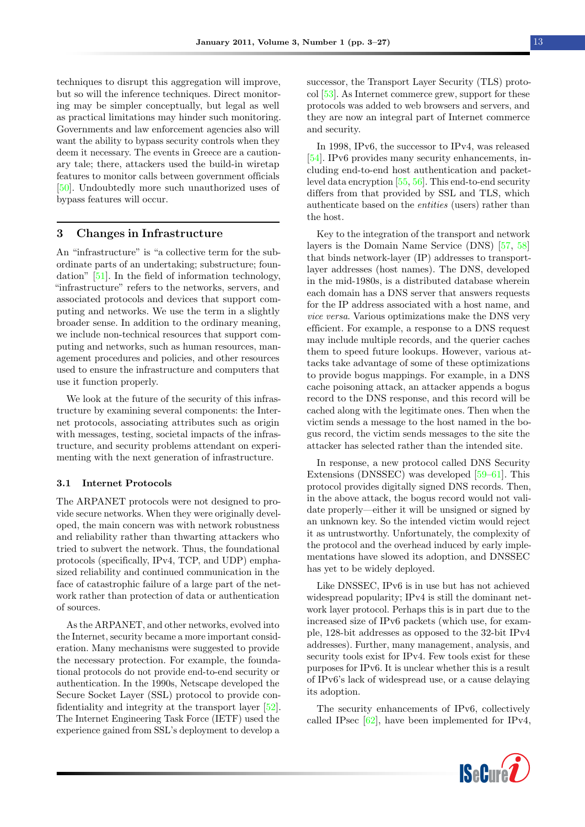techniques to disrupt this aggregation will improve, but so will the inference techniques. Direct monitoring may be simpler conceptually, but legal as well as practical limitations may hinder such monitoring. Governments and law enforcement agencies also will want the ability to bypass security controls when they deem it necessary. The events in Greece are a cautionary tale; there, attackers used the build-in wiretap features to monitor calls between government officials [\[50\]](#page-22-23). Undoubtedly more such unauthorized uses of bypass features will occur.

## 3 Changes in Infrastructure

An "infrastructure" is "a collective term for the subordinate parts of an undertaking; substructure; foundation" [\[51\]](#page-23-0). In the field of information technology, "infrastructure" refers to the networks, servers, and associated protocols and devices that support computing and networks. We use the term in a slightly broader sense. In addition to the ordinary meaning, we include non-technical resources that support computing and networks, such as human resources, management procedures and policies, and other resources used to ensure the infrastructure and computers that use it function properly.

We look at the future of the security of this infrastructure by examining several components: the Internet protocols, associating attributes such as origin with messages, testing, societal impacts of the infrastructure, and security problems attendant on experimenting with the next generation of infrastructure.

#### 3.1 Internet Protocols

The ARPANET protocols were not designed to provide secure networks. When they were originally developed, the main concern was with network robustness and reliability rather than thwarting attackers who tried to subvert the network. Thus, the foundational protocols (specifically, IPv4, TCP, and UDP) emphasized reliability and continued communication in the face of catastrophic failure of a large part of the network rather than protection of data or authentication of sources.

As the ARPANET, and other networks, evolved into the Internet, security became a more important consideration. Many mechanisms were suggested to provide the necessary protection. For example, the foundational protocols do not provide end-to-end security or authentication. In the 1990s, Netscape developed the Secure Socket Layer (SSL) protocol to provide confidentiality and integrity at the transport layer [\[52\]](#page-23-1). The Internet Engineering Task Force (IETF) used the experience gained from SSL's deployment to develop a

successor, the Transport Layer Security (TLS) protocol [\[53\]](#page-23-2). As Internet commerce grew, support for these protocols was added to web browsers and servers, and they are now an integral part of Internet commerce and security.

In 1998, IPv6, the successor to IPv4, was released [\[54\]](#page-23-3). IPv6 provides many security enhancements, including end-to-end host authentication and packetlevel data encryption [\[55,](#page-23-4) [56\]](#page-23-5). This end-to-end security differs from that provided by SSL and TLS, which authenticate based on the entities (users) rather than the host.

Key to the integration of the transport and network layers is the Domain Name Service (DNS) [\[57,](#page-23-6) [58\]](#page-23-7) that binds network-layer (IP) addresses to transportlayer addresses (host names). The DNS, developed in the mid-1980s, is a distributed database wherein each domain has a DNS server that answers requests for the IP address associated with a host name, and vice versa. Various optimizations make the DNS very efficient. For example, a response to a DNS request may include multiple records, and the querier caches them to speed future lookups. However, various attacks take advantage of some of these optimizations to provide bogus mappings. For example, in a DNS cache poisoning attack, an attacker appends a bogus record to the DNS response, and this record will be cached along with the legitimate ones. Then when the victim sends a message to the host named in the bogus record, the victim sends messages to the site the attacker has selected rather than the intended site.

In response, a new protocol called DNS Security Extensions (DNSSEC) was developed [\[59](#page-23-8)[–61\]](#page-23-9). This protocol provides digitally signed DNS records. Then, in the above attack, the bogus record would not validate properly—either it will be unsigned or signed by an unknown key. So the intended victim would reject it as untrustworthy. Unfortunately, the complexity of the protocol and the overhead induced by early implementations have slowed its adoption, and DNSSEC has yet to be widely deployed.

Like DNSSEC, IPv6 is in use but has not achieved widespread popularity; IPv4 is still the dominant network layer protocol. Perhaps this is in part due to the increased size of IPv6 packets (which use, for example, 128-bit addresses as opposed to the 32-bit IPv4 addresses). Further, many management, analysis, and security tools exist for IPv4. Few tools exist for these purposes for IPv6. It is unclear whether this is a result of IPv6's lack of widespread use, or a cause delaying its adoption.

The security enhancements of IPv6, collectively called IPsec  $[62]$ , have been implemented for IPv4,

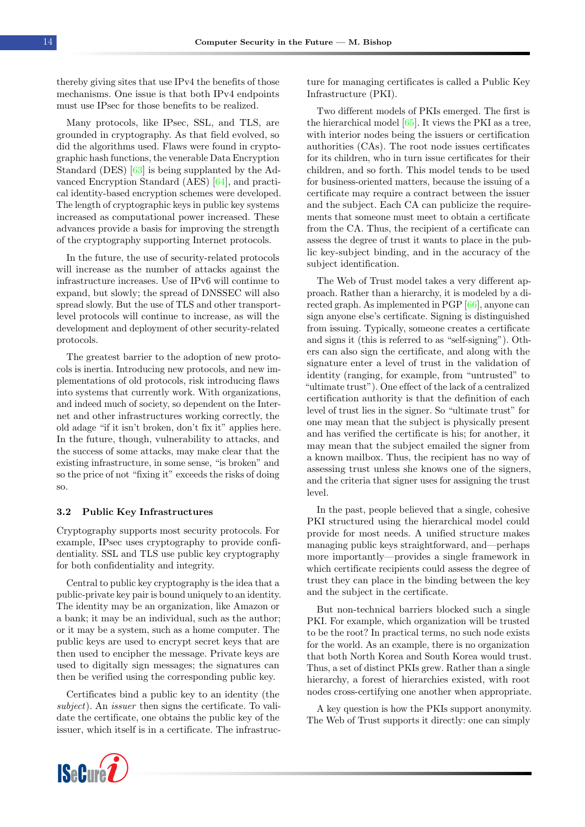thereby giving sites that use IPv4 the benefits of those mechanisms. One issue is that both IPv4 endpoints must use IPsec for those benefits to be realized.

Many protocols, like IPsec, SSL, and TLS, are grounded in cryptography. As that field evolved, so did the algorithms used. Flaws were found in cryptographic hash functions, the venerable Data Encryption Standard (DES) [\[63\]](#page-23-11) is being supplanted by the Advanced Encryption Standard (AES) [\[64\]](#page-23-12), and practical identity-based encryption schemes were developed. The length of cryptographic keys in public key systems increased as computational power increased. These advances provide a basis for improving the strength of the cryptography supporting Internet protocols.

In the future, the use of security-related protocols will increase as the number of attacks against the infrastructure increases. Use of IPv6 will continue to expand, but slowly; the spread of DNSSEC will also spread slowly. But the use of TLS and other transportlevel protocols will continue to increase, as will the development and deployment of other security-related protocols.

The greatest barrier to the adoption of new protocols is inertia. Introducing new protocols, and new implementations of old protocols, risk introducing flaws into systems that currently work. With organizations, and indeed much of society, so dependent on the Internet and other infrastructures working correctly, the old adage "if it isn't broken, don't fix it" applies here. In the future, though, vulnerability to attacks, and the success of some attacks, may make clear that the existing infrastructure, in some sense, "is broken" and so the price of not "fixing it" exceeds the risks of doing so.

## 3.2 Public Key Infrastructures

Cryptography supports most security protocols. For example, IPsec uses cryptography to provide confidentiality. SSL and TLS use public key cryptography for both confidentiality and integrity.

Central to public key cryptography is the idea that a public-private key pair is bound uniquely to an identity. The identity may be an organization, like Amazon or a bank; it may be an individual, such as the author; or it may be a system, such as a home computer. The public keys are used to encrypt secret keys that are then used to encipher the message. Private keys are used to digitally sign messages; the signatures can then be verified using the corresponding public key.

Certificates bind a public key to an identity (the subject). An *issuer* then signs the certificate. To validate the certificate, one obtains the public key of the issuer, which itself is in a certificate. The infrastruc-



ture for managing certificates is called a Public Key Infrastructure (PKI).

Two different models of PKIs emerged. The first is the hierarchical model [\[65\]](#page-23-13). It views the PKI as a tree, with interior nodes being the issuers or certification authorities (CAs). The root node issues certificates for its children, who in turn issue certificates for their children, and so forth. This model tends to be used for business-oriented matters, because the issuing of a certificate may require a contract between the issuer and the subject. Each CA can publicize the requirements that someone must meet to obtain a certificate from the CA. Thus, the recipient of a certificate can assess the degree of trust it wants to place in the public key-subject binding, and in the accuracy of the subject identification.

The Web of Trust model takes a very different approach. Rather than a hierarchy, it is modeled by a directed graph. As implemented in PGP [\[66\]](#page-23-14), anyone can sign anyone else's certificate. Signing is distinguished from issuing. Typically, someone creates a certificate and signs it (this is referred to as "self-signing"). Others can also sign the certificate, and along with the signature enter a level of trust in the validation of identity (ranging, for example, from "untrusted" to "ultimate trust"). One effect of the lack of a centralized certification authority is that the definition of each level of trust lies in the signer. So "ultimate trust" for one may mean that the subject is physically present and has verified the certificate is his; for another, it may mean that the subject emailed the signer from a known mailbox. Thus, the recipient has no way of assessing trust unless she knows one of the signers, and the criteria that signer uses for assigning the trust level.

In the past, people believed that a single, cohesive PKI structured using the hierarchical model could provide for most needs. A unified structure makes managing public keys straightforward, and—perhaps more importantly—provides a single framework in which certificate recipients could assess the degree of trust they can place in the binding between the key and the subject in the certificate.

But non-technical barriers blocked such a single PKI. For example, which organization will be trusted to be the root? In practical terms, no such node exists for the world. As an example, there is no organization that both North Korea and South Korea would trust. Thus, a set of distinct PKIs grew. Rather than a single hierarchy, a forest of hierarchies existed, with root nodes cross-certifying one another when appropriate.

A key question is how the PKIs support anonymity. The Web of Trust supports it directly: one can simply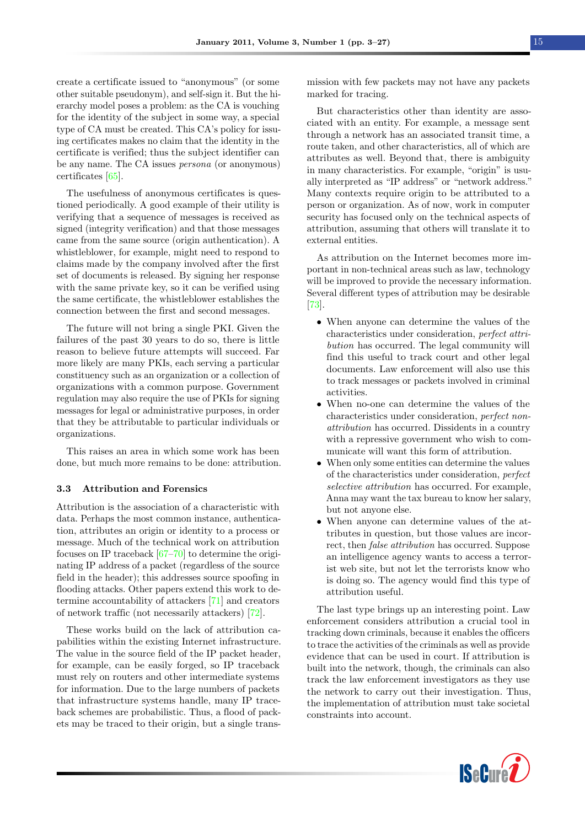create a certificate issued to "anonymous" (or some other suitable pseudonym), and self-sign it. But the hierarchy model poses a problem: as the CA is vouching for the identity of the subject in some way, a special type of CA must be created. This CA's policy for issuing certificates makes no claim that the identity in the certificate is verified; thus the subject identifier can be any name. The CA issues persona (or anonymous) certificates [\[65\]](#page-23-13).

The usefulness of anonymous certificates is questioned periodically. A good example of their utility is verifying that a sequence of messages is received as signed (integrity verification) and that those messages came from the same source (origin authentication). A whistleblower, for example, might need to respond to claims made by the company involved after the first set of documents is released. By signing her response with the same private key, so it can be verified using the same certificate, the whistleblower establishes the connection between the first and second messages.

The future will not bring a single PKI. Given the failures of the past 30 years to do so, there is little reason to believe future attempts will succeed. Far more likely are many PKIs, each serving a particular constituency such as an organization or a collection of organizations with a common purpose. Government regulation may also require the use of PKIs for signing messages for legal or administrative purposes, in order that they be attributable to particular individuals or organizations.

This raises an area in which some work has been done, but much more remains to be done: attribution.

## 3.3 Attribution and Forensics

Attribution is the association of a characteristic with data. Perhaps the most common instance, authentication, attributes an origin or identity to a process or message. Much of the technical work on attribution focuses on IP traceback [\[67–](#page-23-15)[70\]](#page-23-16) to determine the originating IP address of a packet (regardless of the source field in the header); this addresses source spoofing in flooding attacks. Other papers extend this work to determine accountability of attackers [\[71\]](#page-23-17) and creators of network traffic (not necessarily attackers) [\[72\]](#page-23-18).

These works build on the lack of attribution capabilities within the existing Internet infrastructure. The value in the source field of the IP packet header, for example, can be easily forged, so IP traceback must rely on routers and other intermediate systems for information. Due to the large numbers of packets that infrastructure systems handle, many IP traceback schemes are probabilistic. Thus, a flood of packets may be traced to their origin, but a single transmission with few packets may not have any packets marked for tracing.

But characteristics other than identity are associated with an entity. For example, a message sent through a network has an associated transit time, a route taken, and other characteristics, all of which are attributes as well. Beyond that, there is ambiguity in many characteristics. For example, "origin" is usually interpreted as "IP address" or "network address." Many contexts require origin to be attributed to a person or organization. As of now, work in computer security has focused only on the technical aspects of attribution, assuming that others will translate it to external entities.

As attribution on the Internet becomes more important in non-technical areas such as law, technology will be improved to provide the necessary information. Several different types of attribution may be desirable [\[73\]](#page-23-19).

- When anyone can determine the values of the characteristics under consideration, perfect attribution has occurred. The legal community will find this useful to track court and other legal documents. Law enforcement will also use this to track messages or packets involved in criminal activities.
- When no-one can determine the values of the characteristics under consideration, perfect nonattribution has occurred. Dissidents in a country with a repressive government who wish to communicate will want this form of attribution.
- When only some entities can determine the values of the characteristics under consideration, perfect selective attribution has occurred. For example, Anna may want the tax bureau to know her salary, but not anyone else.
- When anyone can determine values of the attributes in question, but those values are incorrect, then false attribution has occurred. Suppose an intelligence agency wants to access a terrorist web site, but not let the terrorists know who is doing so. The agency would find this type of attribution useful.

The last type brings up an interesting point. Law enforcement considers attribution a crucial tool in tracking down criminals, because it enables the officers to trace the activities of the criminals as well as provide evidence that can be used in court. If attribution is built into the network, though, the criminals can also track the law enforcement investigators as they use the network to carry out their investigation. Thus, the implementation of attribution must take societal constraints into account.

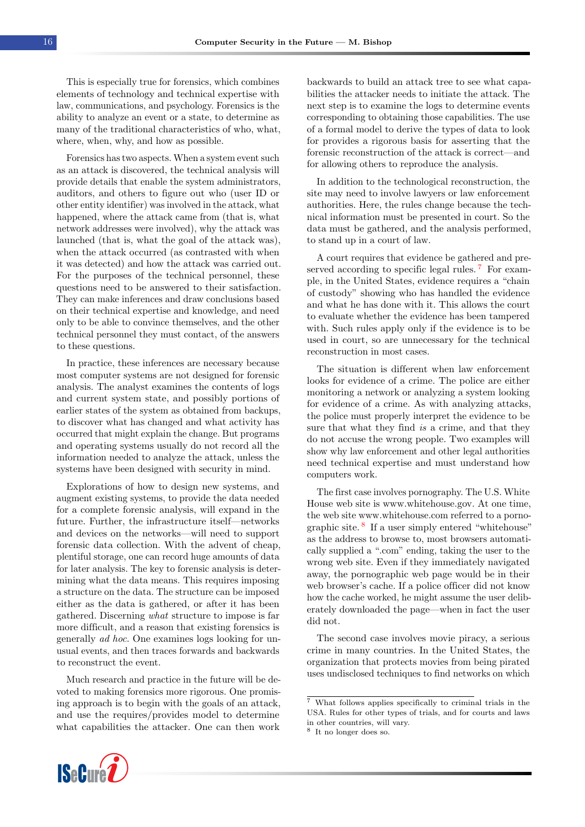This is especially true for forensics, which combines elements of technology and technical expertise with law, communications, and psychology. Forensics is the ability to analyze an event or a state, to determine as many of the traditional characteristics of who, what, where, when, why, and how as possible.

Forensics has two aspects. When a system event such as an attack is discovered, the technical analysis will provide details that enable the system administrators, auditors, and others to figure out who (user ID or other entity identifier) was involved in the attack, what happened, where the attack came from (that is, what network addresses were involved), why the attack was launched (that is, what the goal of the attack was), when the attack occurred (as contrasted with when it was detected) and how the attack was carried out. For the purposes of the technical personnel, these questions need to be answered to their satisfaction. They can make inferences and draw conclusions based on their technical expertise and knowledge, and need only to be able to convince themselves, and the other technical personnel they must contact, of the answers to these questions.

In practice, these inferences are necessary because most computer systems are not designed for forensic analysis. The analyst examines the contents of logs and current system state, and possibly portions of earlier states of the system as obtained from backups, to discover what has changed and what activity has occurred that might explain the change. But programs and operating systems usually do not record all the information needed to analyze the attack, unless the systems have been designed with security in mind.

Explorations of how to design new systems, and augment existing systems, to provide the data needed for a complete forensic analysis, will expand in the future. Further, the infrastructure itself—networks and devices on the networks—will need to support forensic data collection. With the advent of cheap, plentiful storage, one can record huge amounts of data for later analysis. The key to forensic analysis is determining what the data means. This requires imposing a structure on the data. The structure can be imposed either as the data is gathered, or after it has been gathered. Discerning what structure to impose is far more difficult, and a reason that existing forensics is generally ad hoc. One examines logs looking for unusual events, and then traces forwards and backwards to reconstruct the event.

Much research and practice in the future will be devoted to making forensics more rigorous. One promising approach is to begin with the goals of an attack, and use the requires/provides model to determine what capabilities the attacker. One can then work

backwards to build an attack tree to see what capabilities the attacker needs to initiate the attack. The next step is to examine the logs to determine events corresponding to obtaining those capabilities. The use of a formal model to derive the types of data to look for provides a rigorous basis for asserting that the forensic reconstruction of the attack is correct—and for allowing others to reproduce the analysis.

In addition to the technological reconstruction, the site may need to involve lawyers or law enforcement authorities. Here, the rules change because the technical information must be presented in court. So the data must be gathered, and the analysis performed, to stand up in a court of law.

A court requires that evidence be gathered and pre-served according to specific legal rules.<sup>[7](#page-13-0)</sup> For example, in the United States, evidence requires a "chain of custody" showing who has handled the evidence and what he has done with it. This allows the court to evaluate whether the evidence has been tampered with. Such rules apply only if the evidence is to be used in court, so are unnecessary for the technical reconstruction in most cases.

The situation is different when law enforcement looks for evidence of a crime. The police are either monitoring a network or analyzing a system looking for evidence of a crime. As with analyzing attacks, the police must properly interpret the evidence to be sure that what they find is a crime, and that they do not accuse the wrong people. Two examples will show why law enforcement and other legal authorities need technical expertise and must understand how computers work.

The first case involves pornography. The U.S. White House web site is www.whitehouse.gov. At one time, the web site www.whitehouse.com referred to a pornographic site. [8](#page-13-1) If a user simply entered "whitehouse" as the address to browse to, most browsers automatically supplied a ".com" ending, taking the user to the wrong web site. Even if they immediately navigated away, the pornographic web page would be in their web browser's cache. If a police officer did not know how the cache worked, he might assume the user deliberately downloaded the page—when in fact the user did not.

The second case involves movie piracy, a serious crime in many countries. In the United States, the organization that protects movies from being pirated uses undisclosed techniques to find networks on which



<span id="page-13-0"></span><sup>7</sup> What follows applies specifically to criminal trials in the USA. Rules for other types of trials, and for courts and laws in other countries, will vary.

<span id="page-13-1"></span><sup>8</sup> It no longer does so.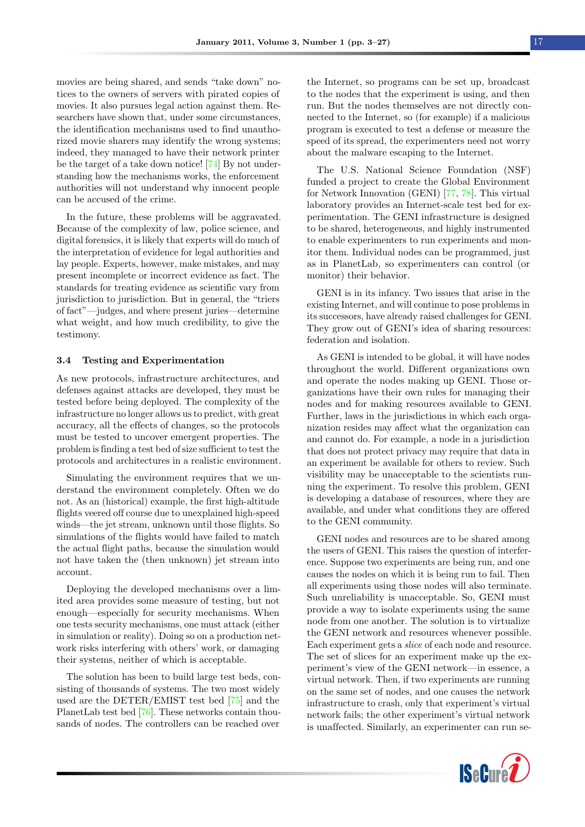movies are being shared, and sends "take down" notices to the owners of servers with pirated copies of movies. It also pursues legal action against them. Researchers have shown that, under some circumstances, the identification mechanisms used to find unauthorized movie sharers may identify the wrong systems; indeed, they managed to have their network printer be the target of a take down notice! [\[74\]](#page-23-20) By not understanding how the mechanisms works, the enforcement authorities will not understand why innocent people can be accused of the crime.

In the future, these problems will be aggravated. Because of the complexity of law, police science, and digital forensics, it is likely that experts will do much of the interpretation of evidence for legal authorities and lay people. Experts, however, make mistakes, and may present incomplete or incorrect evidence as fact. The standards for treating evidence as scientific vary from jurisdiction to jurisdiction. But in general, the "triers of fact"—judges, and where present juries—determine what weight, and how much credibility, to give the testimony.

#### 3.4 Testing and Experimentation

As new protocols, infrastructure architectures, and defenses against attacks are developed, they must be tested before being deployed. The complexity of the infrastructure no longer allows us to predict, with great accuracy, all the effects of changes, so the protocols must be tested to uncover emergent properties. The problem is finding a test bed of size sufficient to test the protocols and architectures in a realistic environment.

Simulating the environment requires that we understand the environment completely. Often we do not. As an (historical) example, the first high-altitude flights veered off course due to unexplained high-speed winds—the jet stream, unknown until those flights. So simulations of the flights would have failed to match the actual flight paths, because the simulation would not have taken the (then unknown) jet stream into account.

Deploying the developed mechanisms over a limited area provides some measure of testing, but not enough—especially for security mechanisms. When one tests security mechanisms, one must attack (either in simulation or reality). Doing so on a production network risks interfering with others' work, or damaging their systems, neither of which is acceptable.

The solution has been to build large test beds, consisting of thousands of systems. The two most widely used are the DETER/EMIST test bed [\[75\]](#page-23-21) and the PlanetLab test bed [\[76\]](#page-23-22). These networks contain thousands of nodes. The controllers can be reached over

the Internet, so programs can be set up, broadcast to the nodes that the experiment is using, and then run. But the nodes themselves are not directly connected to the Internet, so (for example) if a malicious program is executed to test a defense or measure the speed of its spread, the experimenters need not worry about the malware escaping to the Internet.

The U.S. National Science Foundation (NSF) funded a project to create the Global Environment for Network Innovation (GENI) [\[77,](#page-23-23) [78\]](#page-23-24). This virtual laboratory provides an Internet-scale test bed for experimentation. The GENI infrastructure is designed to be shared, heterogeneous, and highly instrumented to enable experimenters to run experiments and monitor them. Individual nodes can be programmed, just as in PlanetLab, so experimenters can control (or monitor) their behavior.

GENI is in its infancy. Two issues that arise in the existing Internet, and will continue to pose problems in its successors, have already raised challenges for GENI. They grow out of GENI's idea of sharing resources: federation and isolation.

As GENI is intended to be global, it will have nodes throughout the world. Different organizations own and operate the nodes making up GENI. Those organizations have their own rules for managing their nodes and for making resources available to GENI. Further, laws in the jurisdictions in which each organization resides may affect what the organization can and cannot do. For example, a node in a jurisdiction that does not protect privacy may require that data in an experiment be available for others to review. Such visibility may be unacceptable to the scientists running the experiment. To resolve this problem, GENI is developing a database of resources, where they are available, and under what conditions they are offered to the GENI community.

GENI nodes and resources are to be shared among the users of GENI. This raises the question of interference. Suppose two experiments are being run, and one causes the nodes on which it is being run to fail. Then all experiments using those nodes will also terminate. Such unreliability is unacceptable. So, GENI must provide a way to isolate experiments using the same node from one another. The solution is to virtualize the GENI network and resources whenever possible. Each experiment gets a slice of each node and resource. The set of slices for an experiment make up the experiment's view of the GENI network—in essence, a virtual network. Then, if two experiments are running on the same set of nodes, and one causes the network infrastructure to crash, only that experiment's virtual network fails; the other experiment's virtual network is unaffected. Similarly, an experimenter can run se-

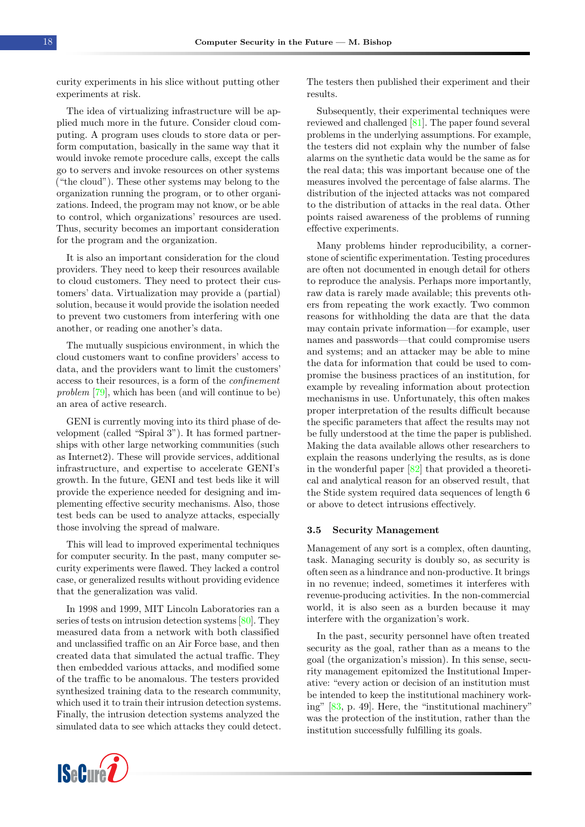curity experiments in his slice without putting other experiments at risk.

The idea of virtualizing infrastructure will be applied much more in the future. Consider cloud computing. A program uses clouds to store data or perform computation, basically in the same way that it would invoke remote procedure calls, except the calls go to servers and invoke resources on other systems ("the cloud"). These other systems may belong to the organization running the program, or to other organizations. Indeed, the program may not know, or be able to control, which organizations' resources are used. Thus, security becomes an important consideration for the program and the organization.

It is also an important consideration for the cloud providers. They need to keep their resources available to cloud customers. They need to protect their customers' data. Virtualization may provide a (partial) solution, because it would provide the isolation needed to prevent two customers from interfering with one another, or reading one another's data.

The mutually suspicious environment, in which the cloud customers want to confine providers' access to data, and the providers want to limit the customers' access to their resources, is a form of the confinement problem [\[79\]](#page-23-25), which has been (and will continue to be) an area of active research.

GENI is currently moving into its third phase of development (called "Spiral 3"). It has formed partnerships with other large networking communities (such as Internet2). These will provide services, additional infrastructure, and expertise to accelerate GENI's growth. In the future, GENI and test beds like it will provide the experience needed for designing and implementing effective security mechanisms. Also, those test beds can be used to analyze attacks, especially those involving the spread of malware.

This will lead to improved experimental techniques for computer security. In the past, many computer security experiments were flawed. They lacked a control case, or generalized results without providing evidence that the generalization was valid.

In 1998 and 1999, MIT Lincoln Laboratories ran a series of tests on intrusion detection systems [\[80\]](#page-23-26). They measured data from a network with both classified and unclassified traffic on an Air Force base, and then created data that simulated the actual traffic. They then embedded various attacks, and modified some of the traffic to be anomalous. The testers provided synthesized training data to the research community, which used it to train their intrusion detection systems. Finally, the intrusion detection systems analyzed the simulated data to see which attacks they could detect.



The testers then published their experiment and their results.

Subsequently, their experimental techniques were reviewed and challenged [\[81\]](#page-23-27). The paper found several problems in the underlying assumptions. For example, the testers did not explain why the number of false alarms on the synthetic data would be the same as for the real data; this was important because one of the measures involved the percentage of false alarms. The distribution of the injected attacks was not compared to the distribution of attacks in the real data. Other points raised awareness of the problems of running effective experiments.

Many problems hinder reproducibility, a cornerstone of scientific experimentation. Testing procedures are often not documented in enough detail for others to reproduce the analysis. Perhaps more importantly, raw data is rarely made available; this prevents others from repeating the work exactly. Two common reasons for withholding the data are that the data may contain private information—for example, user names and passwords—that could compromise users and systems; and an attacker may be able to mine the data for information that could be used to compromise the business practices of an institution, for example by revealing information about protection mechanisms in use. Unfortunately, this often makes proper interpretation of the results difficult because the specific parameters that affect the results may not be fully understood at the time the paper is published. Making the data available allows other researchers to explain the reasons underlying the results, as is done in the wonderful paper [\[82\]](#page-24-0) that provided a theoretical and analytical reason for an observed result, that the Stide system required data sequences of length 6 or above to detect intrusions effectively.

#### 3.5 Security Management

Management of any sort is a complex, often daunting, task. Managing security is doubly so, as security is often seen as a hindrance and non-productive. It brings in no revenue; indeed, sometimes it interferes with revenue-producing activities. In the non-commercial world, it is also seen as a burden because it may interfere with the organization's work.

In the past, security personnel have often treated security as the goal, rather than as a means to the goal (the organization's mission). In this sense, security management epitomized the Institutional Imperative: "every action or decision of an institution must be intended to keep the institutional machinery working" [\[83,](#page-24-1) p. 49]. Here, the "institutional machinery" was the protection of the institution, rather than the institution successfully fulfilling its goals.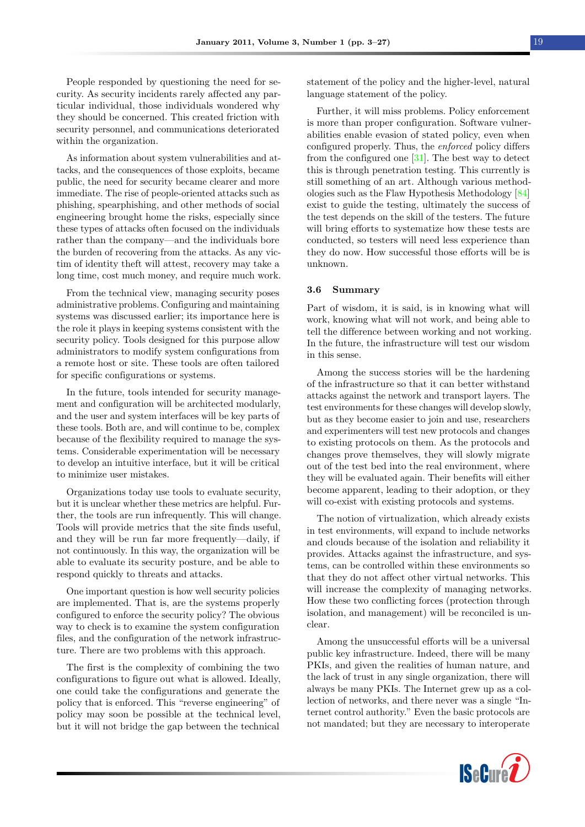People responded by questioning the need for security. As security incidents rarely affected any particular individual, those individuals wondered why they should be concerned. This created friction with security personnel, and communications deteriorated within the organization.

As information about system vulnerabilities and attacks, and the consequences of those exploits, became public, the need for security became clearer and more immediate. The rise of people-oriented attacks such as phishing, spearphishing, and other methods of social engineering brought home the risks, especially since these types of attacks often focused on the individuals rather than the company—and the individuals bore the burden of recovering from the attacks. As any victim of identity theft will attest, recovery may take a long time, cost much money, and require much work.

From the technical view, managing security poses administrative problems. Configuring and maintaining systems was discussed earlier; its importance here is the role it plays in keeping systems consistent with the security policy. Tools designed for this purpose allow administrators to modify system configurations from a remote host or site. These tools are often tailored for specific configurations or systems.

In the future, tools intended for security management and configuration will be architected modularly, and the user and system interfaces will be key parts of these tools. Both are, and will continue to be, complex because of the flexibility required to manage the systems. Considerable experimentation will be necessary to develop an intuitive interface, but it will be critical to minimize user mistakes.

Organizations today use tools to evaluate security, but it is unclear whether these metrics are helpful. Further, the tools are run infrequently. This will change. Tools will provide metrics that the site finds useful, and they will be run far more frequently—daily, if not continuously. In this way, the organization will be able to evaluate its security posture, and be able to respond quickly to threats and attacks.

One important question is how well security policies are implemented. That is, are the systems properly configured to enforce the security policy? The obvious way to check is to examine the system configuration files, and the configuration of the network infrastructure. There are two problems with this approach.

The first is the complexity of combining the two configurations to figure out what is allowed. Ideally, one could take the configurations and generate the policy that is enforced. This "reverse engineering" of policy may soon be possible at the technical level, but it will not bridge the gap between the technical

statement of the policy and the higher-level, natural language statement of the policy.

Further, it will miss problems. Policy enforcement is more than proper configuration. Software vulnerabilities enable evasion of stated policy, even when configured properly. Thus, the enforced policy differs from the configured one [\[31\]](#page-22-5). The best way to detect this is through penetration testing. This currently is still something of an art. Although various methodologies such as the Flaw Hypothesis Methodology [\[84\]](#page-24-2) exist to guide the testing, ultimately the success of the test depends on the skill of the testers. The future will bring efforts to systematize how these tests are conducted, so testers will need less experience than they do now. How successful those efforts will be is unknown.

## 3.6 Summary

Part of wisdom, it is said, is in knowing what will work, knowing what will not work, and being able to tell the difference between working and not working. In the future, the infrastructure will test our wisdom in this sense.

Among the success stories will be the hardening of the infrastructure so that it can better withstand attacks against the network and transport layers. The test environments for these changes will develop slowly, but as they become easier to join and use, researchers and experimenters will test new protocols and changes to existing protocols on them. As the protocols and changes prove themselves, they will slowly migrate out of the test bed into the real environment, where they will be evaluated again. Their benefits will either become apparent, leading to their adoption, or they will co-exist with existing protocols and systems.

The notion of virtualization, which already exists in test environments, will expand to include networks and clouds because of the isolation and reliability it provides. Attacks against the infrastructure, and systems, can be controlled within these environments so that they do not affect other virtual networks. This will increase the complexity of managing networks. How these two conflicting forces (protection through isolation, and management) will be reconciled is unclear.

Among the unsuccessful efforts will be a universal public key infrastructure. Indeed, there will be many PKIs, and given the realities of human nature, and the lack of trust in any single organization, there will always be many PKIs. The Internet grew up as a collection of networks, and there never was a single "Internet control authority." Even the basic protocols are not mandated; but they are necessary to interoperate

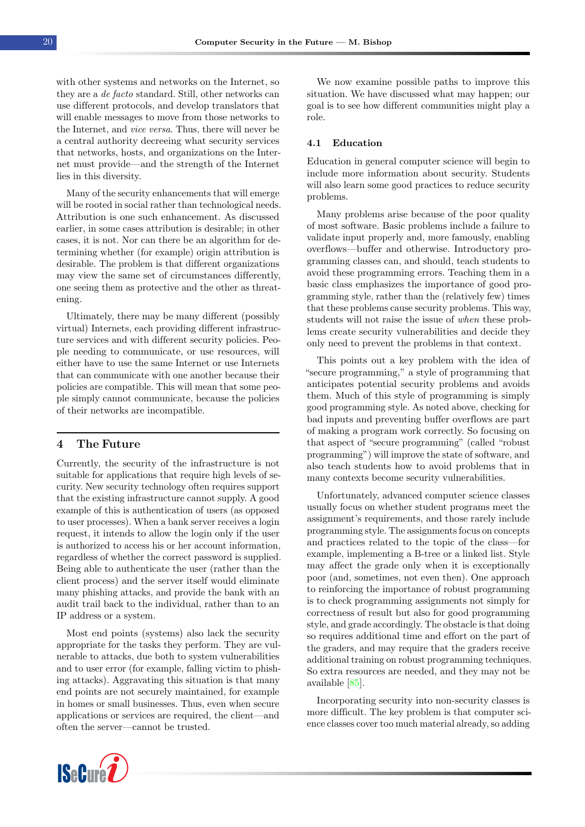with other systems and networks on the Internet, so they are a de facto standard. Still, other networks can use different protocols, and develop translators that will enable messages to move from those networks to the Internet, and vice versa. Thus, there will never be a central authority decreeing what security services that networks, hosts, and organizations on the Internet must provide—and the strength of the Internet lies in this diversity.

Many of the security enhancements that will emerge will be rooted in social rather than technological needs. Attribution is one such enhancement. As discussed earlier, in some cases attribution is desirable; in other cases, it is not. Nor can there be an algorithm for determining whether (for example) origin attribution is desirable. The problem is that different organizations may view the same set of circumstances differently, one seeing them as protective and the other as threatening.

Ultimately, there may be many different (possibly virtual) Internets, each providing different infrastructure services and with different security policies. People needing to communicate, or use resources, will either have to use the same Internet or use Internets that can communicate with one another because their policies are compatible. This will mean that some people simply cannot communicate, because the policies of their networks are incompatible.

## 4 The Future

Currently, the security of the infrastructure is not suitable for applications that require high levels of security. New security technology often requires support that the existing infrastructure cannot supply. A good example of this is authentication of users (as opposed to user processes). When a bank server receives a login request, it intends to allow the login only if the user is authorized to access his or her account information, regardless of whether the correct password is supplied. Being able to authenticate the user (rather than the client process) and the server itself would eliminate many phishing attacks, and provide the bank with an audit trail back to the individual, rather than to an IP address or a system.

Most end points (systems) also lack the security appropriate for the tasks they perform. They are vulnerable to attacks, due both to system vulnerabilities and to user error (for example, falling victim to phishing attacks). Aggravating this situation is that many end points are not securely maintained, for example in homes or small businesses. Thus, even when secure applications or services are required, the client—and often the server—cannot be trusted.

We now examine possible paths to improve this situation. We have discussed what may happen; our goal is to see how different communities might play a role.

## 4.1 Education

Education in general computer science will begin to include more information about security. Students will also learn some good practices to reduce security problems.

Many problems arise because of the poor quality of most software. Basic problems include a failure to validate input properly and, more famously, enabling overflows—buffer and otherwise. Introductory programming classes can, and should, teach students to avoid these programming errors. Teaching them in a basic class emphasizes the importance of good programming style, rather than the (relatively few) times that these problems cause security problems. This way, students will not raise the issue of when these problems create security vulnerabilities and decide they only need to prevent the problems in that context.

This points out a key problem with the idea of "secure programming," a style of programming that anticipates potential security problems and avoids them. Much of this style of programming is simply good programming style. As noted above, checking for bad inputs and preventing buffer overflows are part of making a program work correctly. So focusing on that aspect of "secure programming" (called "robust programming") will improve the state of software, and also teach students how to avoid problems that in many contexts become security vulnerabilities.

Unfortunately, advanced computer science classes usually focus on whether student programs meet the assignment's requirements, and those rarely include programming style. The assignments focus on concepts and practices related to the topic of the class—for example, implementing a B-tree or a linked list. Style may affect the grade only when it is exceptionally poor (and, sometimes, not even then). One approach to reinforcing the importance of robust programming is to check programming assignments not simply for correctness of result but also for good programming style, and grade accordingly. The obstacle is that doing so requires additional time and effort on the part of the graders, and may require that the graders receive additional training on robust programming techniques. So extra resources are needed, and they may not be available [\[85\]](#page-24-3).

Incorporating security into non-security classes is more difficult. The key problem is that computer science classes cover too much material already, so adding

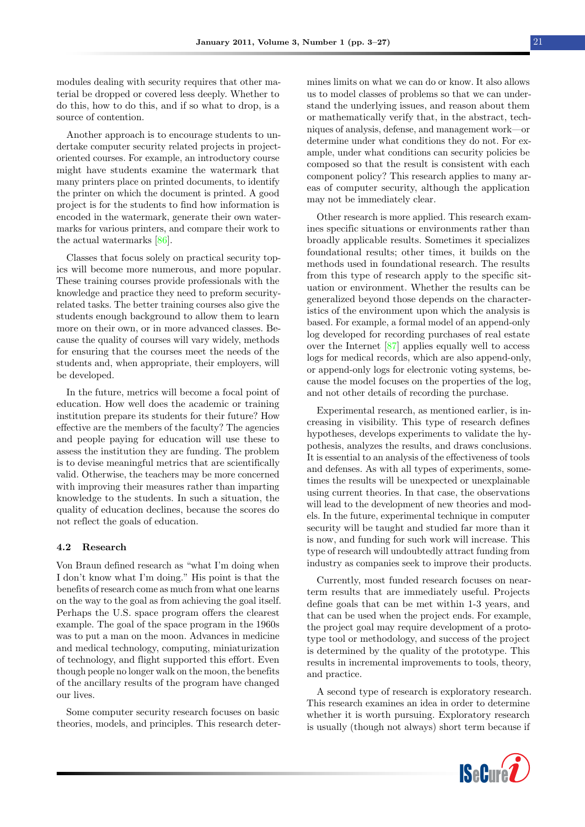modules dealing with security requires that other material be dropped or covered less deeply. Whether to do this, how to do this, and if so what to drop, is a source of contention.

Another approach is to encourage students to undertake computer security related projects in projectoriented courses. For example, an introductory course might have students examine the watermark that many printers place on printed documents, to identify the printer on which the document is printed. A good project is for the students to find how information is encoded in the watermark, generate their own watermarks for various printers, and compare their work to the actual watermarks [\[86\]](#page-24-4).

Classes that focus solely on practical security topics will become more numerous, and more popular. These training courses provide professionals with the knowledge and practice they need to preform securityrelated tasks. The better training courses also give the students enough background to allow them to learn more on their own, or in more advanced classes. Because the quality of courses will vary widely, methods for ensuring that the courses meet the needs of the students and, when appropriate, their employers, will be developed.

In the future, metrics will become a focal point of education. How well does the academic or training institution prepare its students for their future? How effective are the members of the faculty? The agencies and people paying for education will use these to assess the institution they are funding. The problem is to devise meaningful metrics that are scientifically valid. Otherwise, the teachers may be more concerned with improving their measures rather than imparting knowledge to the students. In such a situation, the quality of education declines, because the scores do not reflect the goals of education.

#### 4.2 Research

Von Braun defined research as "what I'm doing when I don't know what I'm doing." His point is that the benefits of research come as much from what one learns on the way to the goal as from achieving the goal itself. Perhaps the U.S. space program offers the clearest example. The goal of the space program in the 1960s was to put a man on the moon. Advances in medicine and medical technology, computing, miniaturization of technology, and flight supported this effort. Even though people no longer walk on the moon, the benefits of the ancillary results of the program have changed our lives.

Some computer security research focuses on basic theories, models, and principles. This research deter-

mines limits on what we can do or know. It also allows us to model classes of problems so that we can understand the underlying issues, and reason about them or mathematically verify that, in the abstract, techniques of analysis, defense, and management work—or determine under what conditions they do not. For example, under what conditions can security policies be composed so that the result is consistent with each component policy? This research applies to many areas of computer security, although the application may not be immediately clear.

Other research is more applied. This research examines specific situations or environments rather than broadly applicable results. Sometimes it specializes foundational results; other times, it builds on the methods used in foundational research. The results from this type of research apply to the specific situation or environment. Whether the results can be generalized beyond those depends on the characteristics of the environment upon which the analysis is based. For example, a formal model of an append-only log developed for recording purchases of real estate over the Internet [\[87\]](#page-24-5) applies equally well to access logs for medical records, which are also append-only, or append-only logs for electronic voting systems, because the model focuses on the properties of the log, and not other details of recording the purchase.

Experimental research, as mentioned earlier, is increasing in visibility. This type of research defines hypotheses, develops experiments to validate the hypothesis, analyzes the results, and draws conclusions. It is essential to an analysis of the effectiveness of tools and defenses. As with all types of experiments, sometimes the results will be unexpected or unexplainable using current theories. In that case, the observations will lead to the development of new theories and models. In the future, experimental technique in computer security will be taught and studied far more than it is now, and funding for such work will increase. This type of research will undoubtedly attract funding from industry as companies seek to improve their products.

Currently, most funded research focuses on nearterm results that are immediately useful. Projects define goals that can be met within 1-3 years, and that can be used when the project ends. For example, the project goal may require development of a prototype tool or methodology, and success of the project is determined by the quality of the prototype. This results in incremental improvements to tools, theory, and practice.

A second type of research is exploratory research. This research examines an idea in order to determine whether it is worth pursuing. Exploratory research is usually (though not always) short term because if

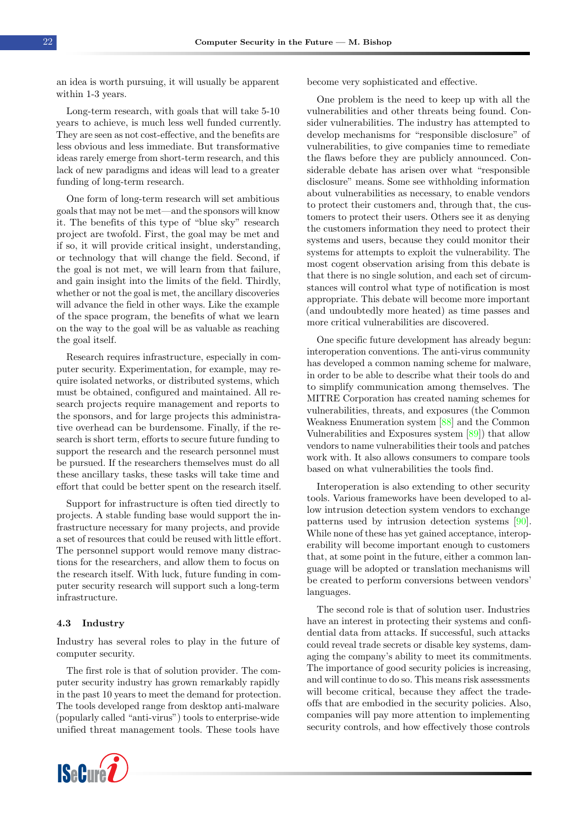an idea is worth pursuing, it will usually be apparent within 1-3 years.

Long-term research, with goals that will take 5-10 years to achieve, is much less well funded currently. They are seen as not cost-effective, and the benefits are less obvious and less immediate. But transformative ideas rarely emerge from short-term research, and this lack of new paradigms and ideas will lead to a greater funding of long-term research.

One form of long-term research will set ambitious goals that may not be met—and the sponsors will know it. The benefits of this type of "blue sky" research project are twofold. First, the goal may be met and if so, it will provide critical insight, understanding, or technology that will change the field. Second, if the goal is not met, we will learn from that failure, and gain insight into the limits of the field. Thirdly, whether or not the goal is met, the ancillary discoveries will advance the field in other ways. Like the example of the space program, the benefits of what we learn on the way to the goal will be as valuable as reaching the goal itself.

Research requires infrastructure, especially in computer security. Experimentation, for example, may require isolated networks, or distributed systems, which must be obtained, configured and maintained. All research projects require management and reports to the sponsors, and for large projects this administrative overhead can be burdensome. Finally, if the research is short term, efforts to secure future funding to support the research and the research personnel must be pursued. If the researchers themselves must do all these ancillary tasks, these tasks will take time and effort that could be better spent on the research itself.

Support for infrastructure is often tied directly to projects. A stable funding base would support the infrastructure necessary for many projects, and provide a set of resources that could be reused with little effort. The personnel support would remove many distractions for the researchers, and allow them to focus on the research itself. With luck, future funding in computer security research will support such a long-term infrastructure.

#### 4.3 Industry

Industry has several roles to play in the future of computer security.

The first role is that of solution provider. The computer security industry has grown remarkably rapidly in the past 10 years to meet the demand for protection. The tools developed range from desktop anti-malware (popularly called "anti-virus") tools to enterprise-wide unified threat management tools. These tools have



become very sophisticated and effective.

One problem is the need to keep up with all the vulnerabilities and other threats being found. Consider vulnerabilities. The industry has attempted to develop mechanisms for "responsible disclosure" of vulnerabilities, to give companies time to remediate the flaws before they are publicly announced. Considerable debate has arisen over what "responsible disclosure" means. Some see withholding information about vulnerabilities as necessary, to enable vendors to protect their customers and, through that, the customers to protect their users. Others see it as denying the customers information they need to protect their systems and users, because they could monitor their systems for attempts to exploit the vulnerability. The most cogent observation arising from this debate is that there is no single solution, and each set of circumstances will control what type of notification is most appropriate. This debate will become more important (and undoubtedly more heated) as time passes and more critical vulnerabilities are discovered.

One specific future development has already begun: interoperation conventions. The anti-virus community has developed a common naming scheme for malware, in order to be able to describe what their tools do and to simplify communication among themselves. The MITRE Corporation has created naming schemes for vulnerabilities, threats, and exposures (the Common Weakness Enumeration system [\[88\]](#page-24-6) and the Common Vulnerabilities and Exposures system [\[89\]](#page-24-7)) that allow vendors to name vulnerabilities their tools and patches work with. It also allows consumers to compare tools based on what vulnerabilities the tools find.

Interoperation is also extending to other security tools. Various frameworks have been developed to allow intrusion detection system vendors to exchange patterns used by intrusion detection systems [\[90\]](#page-24-8). While none of these has yet gained acceptance, interoperability will become important enough to customers that, at some point in the future, either a common language will be adopted or translation mechanisms will be created to perform conversions between vendors' languages.

The second role is that of solution user. Industries have an interest in protecting their systems and confidential data from attacks. If successful, such attacks could reveal trade secrets or disable key systems, damaging the company's ability to meet its commitments. The importance of good security policies is increasing, and will continue to do so. This means risk assessments will become critical, because they affect the tradeoffs that are embodied in the security policies. Also, companies will pay more attention to implementing security controls, and how effectively those controls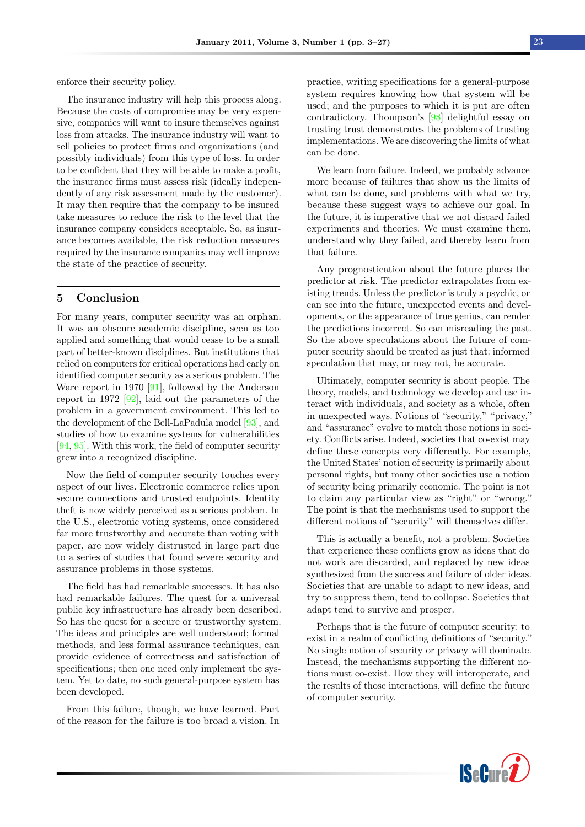enforce their security policy.

The insurance industry will help this process along. Because the costs of compromise may be very expensive, companies will want to insure themselves against loss from attacks. The insurance industry will want to sell policies to protect firms and organizations (and possibly individuals) from this type of loss. In order to be confident that they will be able to make a profit, the insurance firms must assess risk (ideally independently of any risk assessment made by the customer). It may then require that the company to be insured take measures to reduce the risk to the level that the insurance company considers acceptable. So, as insurance becomes available, the risk reduction measures required by the insurance companies may well improve the state of the practice of security.

# 5 Conclusion

For many years, computer security was an orphan. It was an obscure academic discipline, seen as too applied and something that would cease to be a small part of better-known disciplines. But institutions that relied on computers for critical operations had early on identified computer security as a serious problem. The Ware report in 1970 [\[91\]](#page-24-9), followed by the Anderson report in 1972 [\[92\]](#page-24-10), laid out the parameters of the problem in a government environment. This led to the development of the Bell-LaPadula model [\[93\]](#page-24-11), and studies of how to examine systems for vulnerabilities [\[94,](#page-24-12) [95\]](#page-24-13). With this work, the field of computer security grew into a recognized discipline.

Now the field of computer security touches every aspect of our lives. Electronic commerce relies upon secure connections and trusted endpoints. Identity theft is now widely perceived as a serious problem. In the U.S., electronic voting systems, once considered far more trustworthy and accurate than voting with paper, are now widely distrusted in large part due to a series of studies that found severe security and assurance problems in those systems.

The field has had remarkable successes. It has also had remarkable failures. The quest for a universal public key infrastructure has already been described. So has the quest for a secure or trustworthy system. The ideas and principles are well understood; formal methods, and less formal assurance techniques, can provide evidence of correctness and satisfaction of specifications; then one need only implement the system. Yet to date, no such general-purpose system has been developed.

From this failure, though, we have learned. Part of the reason for the failure is too broad a vision. In

practice, writing specifications for a general-purpose system requires knowing how that system will be used; and the purposes to which it is put are often contradictory. Thompson's [\[98\]](#page-24-14) delightful essay on trusting trust demonstrates the problems of trusting implementations. We are discovering the limits of what can be done.

We learn from failure. Indeed, we probably advance more because of failures that show us the limits of what can be done, and problems with what we try, because these suggest ways to achieve our goal. In the future, it is imperative that we not discard failed experiments and theories. We must examine them, understand why they failed, and thereby learn from that failure.

Any prognostication about the future places the predictor at risk. The predictor extrapolates from existing trends. Unless the predictor is truly a psychic, or can see into the future, unexpected events and developments, or the appearance of true genius, can render the predictions incorrect. So can misreading the past. So the above speculations about the future of computer security should be treated as just that: informed speculation that may, or may not, be accurate.

Ultimately, computer security is about people. The theory, models, and technology we develop and use interact with individuals, and society as a whole, often in unexpected ways. Notions of "security," "privacy," and "assurance" evolve to match those notions in society. Conflicts arise. Indeed, societies that co-exist may define these concepts very differently. For example, the United States' notion of security is primarily about personal rights, but many other societies use a notion of security being primarily economic. The point is not to claim any particular view as "right" or "wrong." The point is that the mechanisms used to support the different notions of "security" will themselves differ.

This is actually a benefit, not a problem. Societies that experience these conflicts grow as ideas that do not work are discarded, and replaced by new ideas synthesized from the success and failure of older ideas. Societies that are unable to adapt to new ideas, and try to suppress them, tend to collapse. Societies that adapt tend to survive and prosper.

Perhaps that is the future of computer security: to exist in a realm of conflicting definitions of "security." No single notion of security or privacy will dominate. Instead, the mechanisms supporting the different notions must co-exist. How they will interoperate, and the results of those interactions, will define the future of computer security.

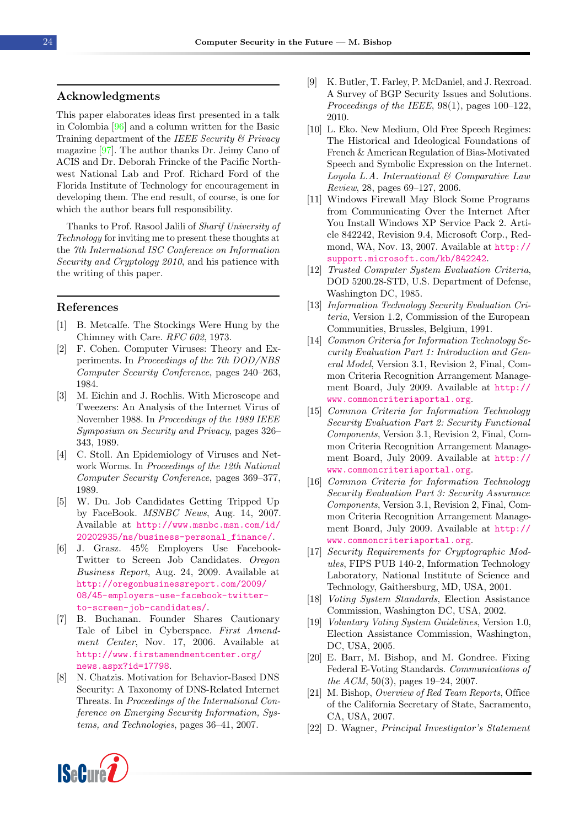## Acknowledgments

This paper elaborates ideas first presented in a talk in Colombia [\[96\]](#page-24-15) and a column written for the Basic Training department of the IEEE Security  $\mathcal B$  Privacy magazine [\[97\]](#page-24-16). The author thanks Dr. Jeimy Cano of ACIS and Dr. Deborah Frincke of the Pacific Northwest National Lab and Prof. Richard Ford of the Florida Institute of Technology for encouragement in developing them. The end result, of course, is one for which the author bears full responsibility.

Thanks to Prof. Rasool Jalili of Sharif University of Technology for inviting me to present these thoughts at the 7th International ISC Conference on Information Security and Cryptology 2010, and his patience with the writing of this paper.

## References

- <span id="page-21-0"></span>[1] B. Metcalfe. The Stockings Were Hung by the Chimney with Care. RFC 602, 1973.
- <span id="page-21-1"></span>[2] F. Cohen. Computer Viruses: Theory and Experiments. In Proceedings of the 7th DOD/NBS Computer Security Conference, pages 240–263, 1984.
- <span id="page-21-2"></span>[3] M. Eichin and J. Rochlis. With Microscope and Tweezers: An Analysis of the Internet Virus of November 1988. In Proceedings of the 1989 IEEE Symposium on Security and Privacy, pages 326– 343, 1989.
- <span id="page-21-3"></span>[4] C. Stoll. An Epidemiology of Viruses and Network Worms. In Proceedings of the 12th National Computer Security Conference, pages 369–377, 1989.
- <span id="page-21-4"></span>[5] W. Du. Job Candidates Getting Tripped Up by FaceBook. MSNBC News, Aug. 14, 2007. Available at [http://www.msnbc.msn.com/id/](http://www.msnbc.msn.com/id/20202935/ns/business-personal_finance/) [20202935/ns/business-personal\\_finance/](http://www.msnbc.msn.com/id/20202935/ns/business-personal_finance/).
- <span id="page-21-5"></span>[6] J. Grasz. 45% Employers Use Facebook-Twitter to Screen Job Candidates. Oregon Business Report, Aug. 24, 2009. Available at [http://oregonbusinessreport.com/2009/](http://oregonbusinessreport.com/2009/08/45-employers-use-facebook-twitter-to-screen-job-candidates/) [08/45-employers-use-facebook-twitter](http://oregonbusinessreport.com/2009/08/45-employers-use-facebook-twitter-to-screen-job-candidates/)[to-screen-job-candidates/](http://oregonbusinessreport.com/2009/08/45-employers-use-facebook-twitter-to-screen-job-candidates/).
- <span id="page-21-6"></span>[7] B. Buchanan. Founder Shares Cautionary Tale of Libel in Cyberspace. First Amendment Center, Nov. 17, 2006. Available at [http://www.firstamendmentcenter.org/](http://www.firstamendmentcenter.org/news.aspx?id=17798) [news.aspx?id=17798](http://www.firstamendmentcenter.org/news.aspx?id=17798).
- <span id="page-21-7"></span>[8] N. Chatzis. Motivation for Behavior-Based DNS Security: A Taxonomy of DNS-Related Internet Threats. In Proceedings of the International Conference on Emerging Security Information, Systems, and Technologies, pages 36–41, 2007.
- <span id="page-21-8"></span>[9] K. Butler, T. Farley, P. McDaniel, and J. Rexroad. A Survey of BGP Security Issues and Solutions. Proceedings of the IEEE, 98(1), pages 100–122, 2010.
- <span id="page-21-9"></span>[10] L. Eko. New Medium, Old Free Speech Regimes: The Historical and Ideological Foundations of French & American Regulation of Bias-Motivated Speech and Symbolic Expression on the Internet. Loyola L.A. International & Comparative Law Review, 28, pages 69–127, 2006.
- <span id="page-21-10"></span>[11] Windows Firewall May Block Some Programs from Communicating Over the Internet After You Install Windows XP Service Pack 2. Article 842242, Revision 9.4, Microsoft Corp., Redmond, WA, Nov. 13, 2007. Available at [http://](http://support.microsoft.com/kb/842242) [support.microsoft.com/kb/842242](http://support.microsoft.com/kb/842242).
- <span id="page-21-11"></span>[12] Trusted Computer System Evaluation Criteria, DOD 5200.28-STD, U.S. Department of Defense, Washington DC, 1985.
- <span id="page-21-12"></span>[13] Information Technology Security Evaluation Criteria, Version 1.2, Commission of the European Communities, Brussles, Belgium, 1991.
- <span id="page-21-13"></span>[14] Common Criteria for Information Technology Security Evaluation Part 1: Introduction and General Model, Version 3.1, Revision 2, Final, Common Criteria Recognition Arrangement Management Board, July 2009. Available at [http://](http://www.commoncriteriaportal.org) [www.commoncriteriaportal.org](http://www.commoncriteriaportal.org).
- [15] Common Criteria for Information Technology Security Evaluation Part 2: Security Functional Components, Version 3.1, Revision 2, Final, Common Criteria Recognition Arrangement Management Board, July 2009. Available at [http://](http://www.commoncriteriaportal.org) [www.commoncriteriaportal.org](http://www.commoncriteriaportal.org).
- <span id="page-21-14"></span>[16] Common Criteria for Information Technology Security Evaluation Part 3: Security Assurance Components, Version 3.1, Revision 2, Final, Common Criteria Recognition Arrangement Management Board, July 2009. Available at [http://](http://www.commoncriteriaportal.org) [www.commoncriteriaportal.org](http://www.commoncriteriaportal.org).
- <span id="page-21-15"></span>[17] Security Requirements for Cryptographic Modules, FIPS PUB 140-2, Information Technology Laboratory, National Institute of Science and Technology, Gaithersburg, MD, USA, 2001.
- <span id="page-21-16"></span>[18] Voting System Standards, Election Assistance Commission, Washington DC, USA, 2002.
- [19] Voluntary Voting System Guidelines, Version 1.0, Election Assistance Commission, Washington, DC, USA, 2005.
- <span id="page-21-17"></span>[20] E. Barr, M. Bishop, and M. Gondree. Fixing Federal E-Voting Standards. Communications of the ACM, 50(3), pages 19–24, 2007.
- <span id="page-21-18"></span>[21] M. Bishop, Overview of Red Team Reports, Office of the California Secretary of State, Sacramento, CA, USA, 2007.
- [22] D. Wagner, Principal Investigator's Statement

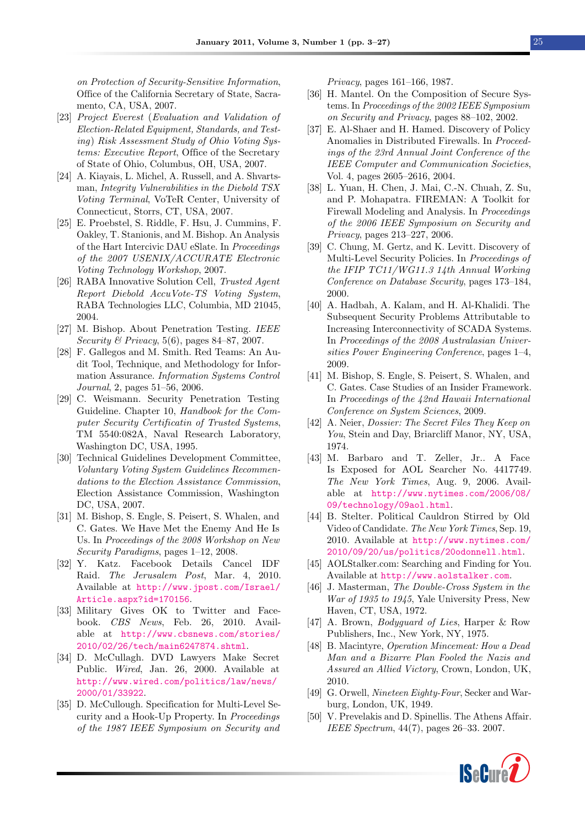on Protection of Security-Sensitive Information, Office of the California Secretary of State, Sacramento, CA, USA, 2007.

- <span id="page-22-3"></span>[23] Project Everest (Evaluation and Validation of Election-Related Equipment, Standards, and Testing) Risk Assessment Study of Ohio Voting Systems: Executive Report, Office of the Secretary of State of Ohio, Columbus, OH, USA, 2007.
- [24] A. Kiayais, L. Michel, A. Russell, and A. Shvartsman, Integrity Vulnerabilities in the Diebold TSX Voting Terminal, VoTeR Center, University of Connecticut, Storrs, CT, USA, 2007.
- [25] E. Proebstel, S. Riddle, F. Hsu, J. Cummins, F. Oakley, T. Stanionis, and M. Bishop. An Analysis of the Hart Intercivic DAU eSlate. In Proceedings of the 2007 USENIX/ACCURATE Electronic Voting Technology Workshop, 2007.
- <span id="page-22-0"></span>[26] RABA Innovative Solution Cell, Trusted Agent Report Diebold AccuVote-TS Voting System, RABA Technologies LLC, Columbia, MD 21045, 2004.
- <span id="page-22-1"></span>[27] M. Bishop. About Penetration Testing. *IEEE* Security & Privacy, 5(6), pages 84–87, 2007.
- [28] F. Gallegos and M. Smith. Red Teams: An Audit Tool, Technique, and Methodology for Information Assurance. Information Systems Control Journal, 2, pages 51–56, 2006.
- <span id="page-22-2"></span>[29] C. Weismann. Security Penetration Testing Guideline. Chapter 10, Handbook for the Computer Security Certificatin of Trusted Systems, TM 5540:082A, Naval Research Laboratory, Washington DC, USA, 1995.
- <span id="page-22-4"></span>[30] Technical Guidelines Development Committee, Voluntary Voting System Guidelines Recommendations to the Election Assistance Commission, Election Assistance Commission, Washington DC, USA, 2007.
- <span id="page-22-5"></span>[31] M. Bishop, S. Engle, S. Peisert, S. Whalen, and C. Gates. We Have Met the Enemy And He Is Us. In Proceedings of the 2008 Workshop on New Security Paradigms, pages 1–12, 2008.
- <span id="page-22-6"></span>[32] Y. Katz. Facebook Details Cancel IDF Raid. The Jerusalem Post, Mar. 4, 2010. Available at [http://www.jpost.com/Israel/](http://www.jpost.com/Israel/Article.aspx?id=170156) [Article.aspx?id=170156](http://www.jpost.com/Israel/Article.aspx?id=170156).
- <span id="page-22-7"></span>[33] Military Gives OK to Twitter and Facebook. CBS News, Feb. 26, 2010. Available at [http://www.cbsnews.com/stories/](http://www.cbsnews.com/stories/2010/02/26/tech/main6247874.shtml) [2010/02/26/tech/main6247874.shtml](http://www.cbsnews.com/stories/2010/02/26/tech/main6247874.shtml).
- <span id="page-22-8"></span>[34] D. McCullagh. DVD Lawyers Make Secret Public. Wired, Jan. 26, 2000. Available at [http://www.wired.com/politics/law/news/](http://www.wired.com/politics/law/news/2000/01/33922) [2000/01/33922](http://www.wired.com/politics/law/news/2000/01/33922).
- <span id="page-22-9"></span>[35] D. McCullough. Specification for Multi-Level Security and a Hook-Up Property. In Proceedings of the 1987 IEEE Symposium on Security and

Privacy, pages 161–166, 1987.

- <span id="page-22-10"></span>[36] H. Mantel. On the Composition of Secure Systems. In Proceedings of the 2002 IEEE Symposium on Security and Privacy, pages 88–102, 2002.
- <span id="page-22-11"></span>[37] E. Al-Shaer and H. Hamed. Discovery of Policy Anomalies in Distributed Firewalls. In Proceedings of the 23rd Annual Joint Conference of the IEEE Computer and Communication Societies, Vol. 4, pages 2605–2616, 2004.
- <span id="page-22-12"></span>[38] L. Yuan, H. Chen, J. Mai, C.-N. Chuah, Z. Su, and P. Mohapatra. FIREMAN: A Toolkit for Firewall Modeling and Analysis. In Proceedings of the 2006 IEEE Symposium on Security and Privacy, pages 213–227, 2006.
- <span id="page-22-13"></span>[39] C. Chung, M. Gertz, and K. Levitt. Discovery of Multi-Level Security Policies. In Proceedings of the IFIP TC11/WG11.3 14th Annual Working Conference on Database Security, pages 173–184, 2000.
- <span id="page-22-14"></span>[40] A. Hadbah, A. Kalam, and H. Al-Khalidi. The Subsequent Security Problems Attributable to Increasing Interconnectivity of SCADA Systems. In Proceedings of the 2008 Australasian Universities Power Engineering Conference, pages 1–4, 2009.
- <span id="page-22-15"></span>[41] M. Bishop, S. Engle, S. Peisert, S. Whalen, and C. Gates. Case Studies of an Insider Framework. In Proceedings of the 42nd Hawaii International Conference on System Sciences, 2009.
- <span id="page-22-16"></span>[42] A. Neier, *Dossier: The Secret Files They Keep on* You, Stein and Day, Briarcliff Manor, NY, USA, 1974.
- <span id="page-22-17"></span>[43] M. Barbaro and T. Zeller, Jr.. A Face Is Exposed for AOL Searcher No. 4417749. The New York Times, Aug. 9, 2006. Available at [http://www.nytimes.com/2006/08/](http://www.nytimes.com/2006/08/09/technology/09aol.html) [09/technology/09aol.html](http://www.nytimes.com/2006/08/09/technology/09aol.html).
- <span id="page-22-18"></span>[44] B. Stelter. Political Cauldron Stirred by Old Video of Candidate. The New York Times, Sep. 19, 2010. Available at [http://www.nytimes.com/](http://www.nytimes.com/2010/09/20/us/politics/20odonnell.html) [2010/09/20/us/politics/20odonnell.html](http://www.nytimes.com/2010/09/20/us/politics/20odonnell.html).
- <span id="page-22-19"></span>[45] AOLStalker.com: Searching and Finding for You. Available at <http://www.aolstalker.com>.
- <span id="page-22-20"></span>[46] J. Masterman, The Double-Cross System in the War of 1935 to 1945, Yale University Press, New Haven, CT, USA, 1972.
- [47] A. Brown, Bodyguard of Lies, Harper & Row Publishers, Inc., New York, NY, 1975.
- <span id="page-22-21"></span>[48] B. Macintyre, Operation Mincemeat: How a Dead Man and a Bizarre Plan Fooled the Nazis and Assured an Allied Victory, Crown, London, UK, 2010.
- <span id="page-22-22"></span>[49] G. Orwell, Nineteen Eighty-Four, Secker and Warburg, London, UK, 1949.
- <span id="page-22-23"></span>[50] V. Prevelakis and D. Spinellis. The Athens Affair. IEEE Spectrum, 44(7), pages 26–33. 2007.

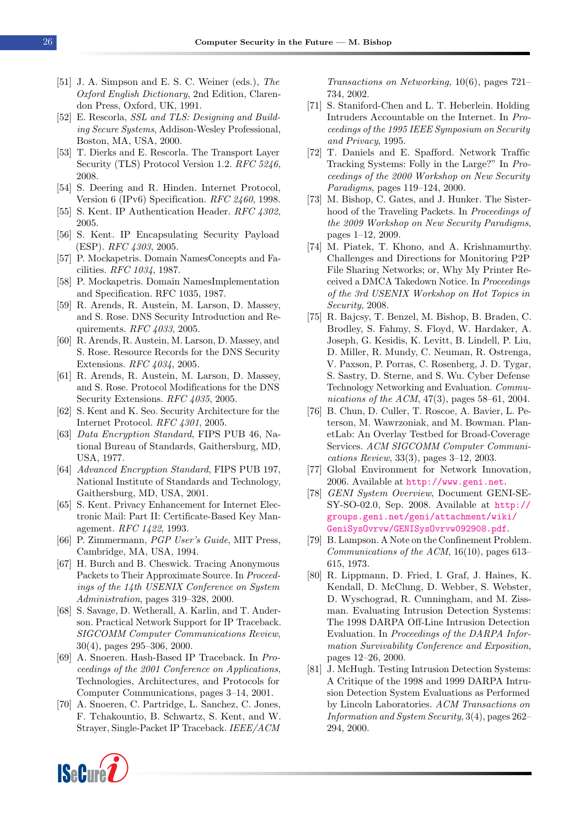- <span id="page-23-0"></span>[51] J. A. Simpson and E. S. C. Weiner (eds.), The Oxford English Dictionary, 2nd Edition, Clarendon Press, Oxford, UK, 1991.
- <span id="page-23-1"></span>[52] E. Rescorla, SSL and TLS: Designing and Building Secure Systems, Addison-Wesley Professional, Boston, MA, USA, 2000.
- <span id="page-23-2"></span>[53] T. Dierks and E. Rescorla. The Transport Layer Security (TLS) Protocol Version 1.2. RFC 5246, 2008.
- <span id="page-23-3"></span>[54] S. Deering and R. Hinden. Internet Protocol, Version 6 (IPv6) Specification. RFC 2460, 1998.
- <span id="page-23-4"></span>[55] S. Kent. IP Authentication Header. RFC 4302. 2005.
- <span id="page-23-5"></span>[56] S. Kent. IP Encapsulating Security Payload (ESP). RFC 4303, 2005.
- <span id="page-23-6"></span>[57] P. Mockapetris. Domain NamesConcepts and Facilities. RFC 1034, 1987.
- <span id="page-23-7"></span>[58] P. Mockapetris. Domain NamesImplementation and Specification. RFC 1035, 1987.
- <span id="page-23-8"></span>[59] R. Arends, R. Austein, M. Larson, D. Massey, and S. Rose. DNS Security Introduction and Requirements. RFC 4033, 2005.
- [60] R. Arends, R. Austein, M. Larson, D. Massey, and S. Rose. Resource Records for the DNS Security Extensions. RFC 4034, 2005.
- <span id="page-23-9"></span>[61] R. Arends, R. Austein, M. Larson, D. Massey, and S. Rose. Protocol Modifications for the DNS Security Extensions. RFC 4035, 2005.
- <span id="page-23-10"></span>[62] S. Kent and K. Seo. Security Architecture for the Internet Protocol. RFC 4301, 2005.
- <span id="page-23-11"></span>[63] Data Encryption Standard, FIPS PUB 46, National Bureau of Standards, Gaithersburg, MD, USA, 1977.
- <span id="page-23-12"></span>[64] Advanced Encryption Standard, FIPS PUB 197, National Institute of Standards and Technology, Gaithersburg, MD, USA, 2001.
- <span id="page-23-13"></span>[65] S. Kent. Privacy Enhancement for Internet Electronic Mail: Part II: Certificate-Based Key Management. RFC 1422, 1993.
- <span id="page-23-14"></span>[66] P. Zimmermann, PGP User's Guide, MIT Press, Cambridge, MA, USA, 1994.
- <span id="page-23-15"></span>[67] H. Burch and B. Cheswick. Tracing Anonymous Packets to Their Approximate Source. In Proceedings of the 14th USENIX Conference on System Administration, pages 319–328, 2000.
- [68] S. Savage, D. Wetherall, A. Karlin, and T. Anderson. Practical Network Support for IP Traceback. SIGCOMM Computer Communications Review, 30(4), pages 295–306, 2000.
- [69] A. Snoeren. Hash-Based IP Traceback. In Proceedings of the 2001 Conference on Applications, Technologies, Architectures, and Protocols for Computer Communications, pages 3–14, 2001.
- <span id="page-23-16"></span>[70] A. Snoeren, C. Partridge, L. Sanchez, C. Jones, F. Tchakountio, B. Schwartz, S. Kent, and W. Strayer, Single-Packet IP Traceback. IEEE/ACM

Transactions on Networking, 10(6), pages 721– 734, 2002.

- <span id="page-23-17"></span>[71] S. Staniford-Chen and L. T. Heberlein. Holding Intruders Accountable on the Internet. In Proceedings of the 1995 IEEE Symposium on Security and Privacy, 1995.
- <span id="page-23-18"></span>[72] T. Daniels and E. Spafford. Network Traffic Tracking Systems: Folly in the Large?" In Proceedings of the 2000 Workshop on New Security Paradigms, pages 119–124, 2000.
- <span id="page-23-19"></span>[73] M. Bishop, C. Gates, and J. Hunker. The Sisterhood of the Traveling Packets. In Proceedings of the 2009 Workshop on New Security Paradigms, pages 1–12, 2009.
- <span id="page-23-20"></span>[74] M. Piatek, T. Khono, and A. Krishnamurthy. Challenges and Directions for Monitoring P2P File Sharing Networks; or, Why My Printer Received a DMCA Takedown Notice. In Proceedings of the 3rd USENIX Workshop on Hot Topics in Security, 2008.
- <span id="page-23-21"></span>[75] R. Bajcsy, T. Benzel, M. Bishop, B. Braden, C. Brodley, S. Fahmy, S. Floyd, W. Hardaker, A. Joseph, G. Kesidis, K. Levitt, B. Lindell, P. Liu, D. Miller, R. Mundy, C. Neuman, R. Ostrenga, V. Paxson, P. Porras, C. Rosenberg, J. D. Tygar, S. Sastry, D. Sterne, and S. Wu. Cyber Defense Technology Networking and Evaluation. Communications of the ACM,  $47(3)$ , pages 58–61, 2004.
- <span id="page-23-22"></span>[76] B. Chun, D. Culler, T. Roscoe, A. Bavier, L. Peterson, M. Wawrzoniak, and M. Bowman. PlanetLab: An Overlay Testbed for Broad-Coverage Services. ACM SIGCOMM Computer Communications Review, 33(3), pages 3–12, 2003.
- <span id="page-23-23"></span>[77] Global Environment for Network Innovation, 2006. Available at <http://www.geni.net>.
- <span id="page-23-24"></span>[78] GENI System Overview, Document GENI-SE-SY-SO-02.0, Sep. 2008. Available at [http://](http://groups.geni.net/geni/attachment/wiki/GeniSysOvrvw/GENISysOvrvw092908.pdf) [groups.geni.net/geni/attachment/wiki/](http://groups.geni.net/geni/attachment/wiki/GeniSysOvrvw/GENISysOvrvw092908.pdf) [GeniSysOvrvw/GENISysOvrvw092908.pdf](http://groups.geni.net/geni/attachment/wiki/GeniSysOvrvw/GENISysOvrvw092908.pdf).
- <span id="page-23-25"></span>[79] B. Lampson. A Note on the Confinement Problem. Communications of the ACM, 16(10), pages 613– 615, 1973.
- <span id="page-23-26"></span>[80] R. Lippmann, D. Fried, I. Graf, J. Haines, K. Kendall, D. McClung, D. Webber, S. Webster, D. Wyschograd, R. Cunningham, and M. Zissman. Evaluating Intrusion Detection Systems: The 1998 DARPA Off-Line Intrusion Detection Evaluation. In Proceedings of the DARPA Information Survivability Conference and Exposition, pages 12–26, 2000.
- <span id="page-23-27"></span>[81] J. McHugh. Testing Intrusion Detection Systems: A Critique of the 1998 and 1999 DARPA Intrusion Detection System Evaluations as Performed by Lincoln Laboratories. ACM Transactions on Information and System Security, 3(4), pages 262– 294, 2000.